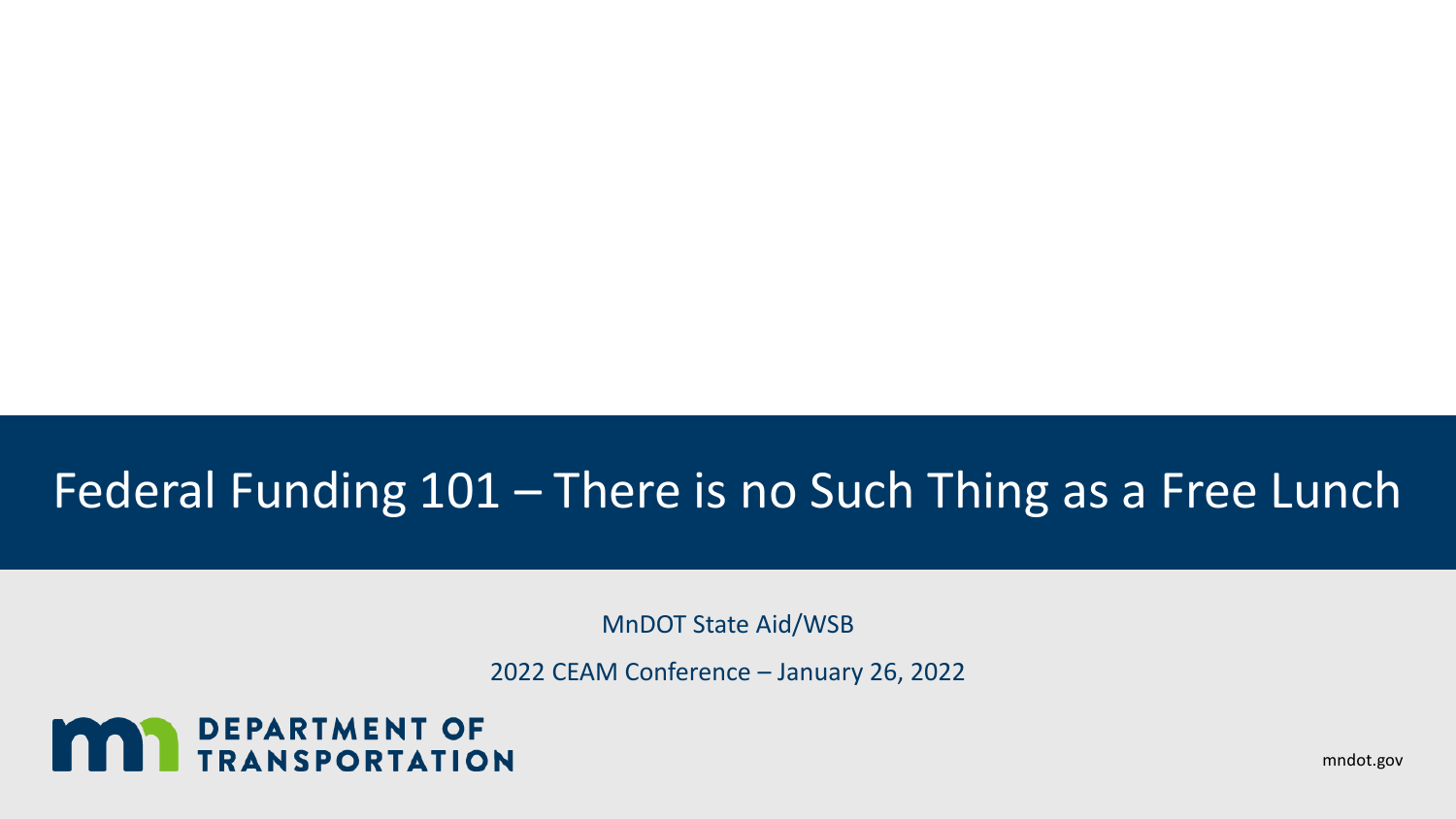### Federal Funding 101 – There is no Such Thing as a Free Lunch

MnDOT State Aid/WSB

2022 CEAM Conference – January 26, 2022

# **MAY DEPARTMENT OF TRANSPORTATION**

mndot.gov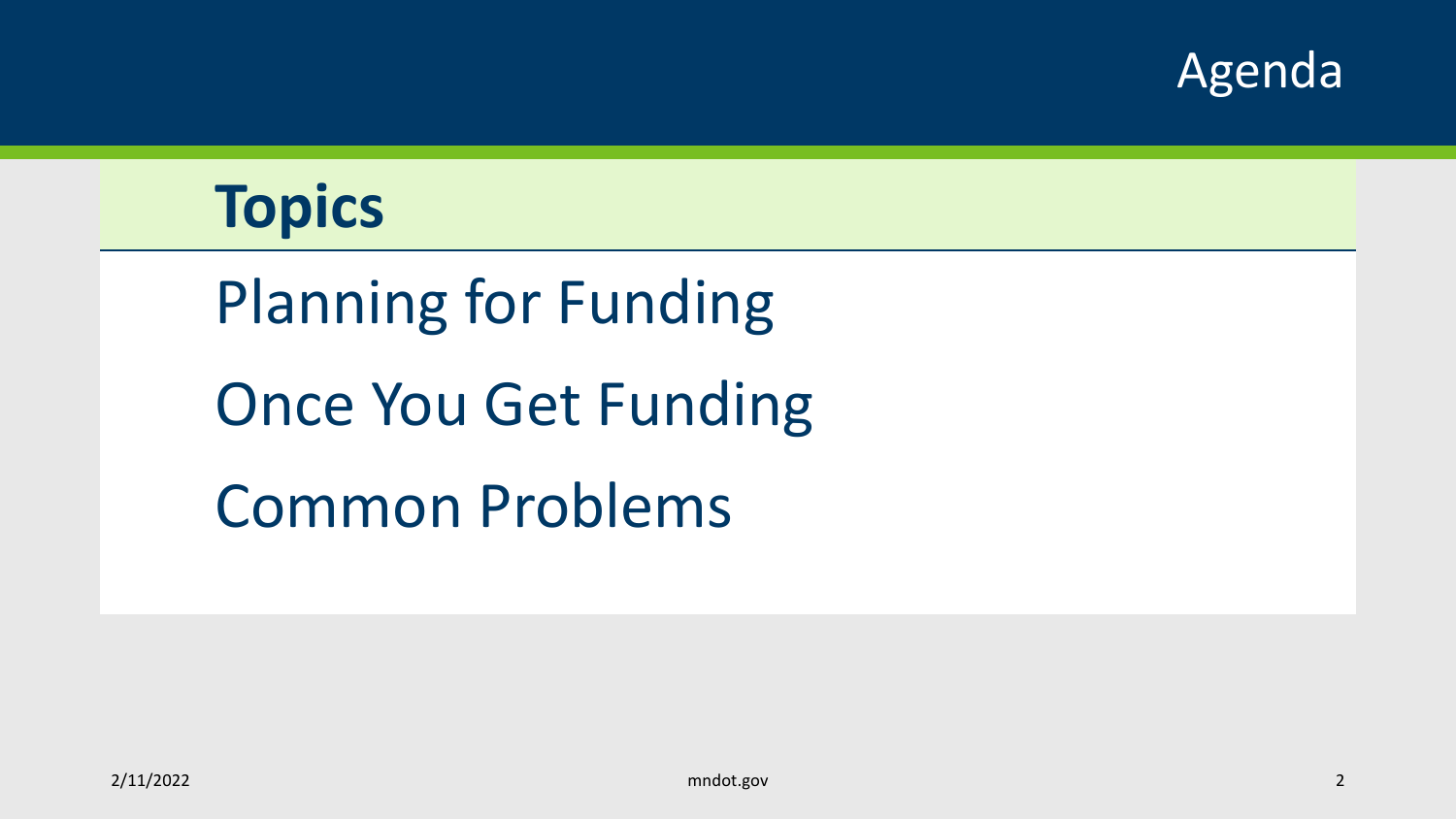

## **Topics**

# Planning for Funding Once You Get Funding Common Problems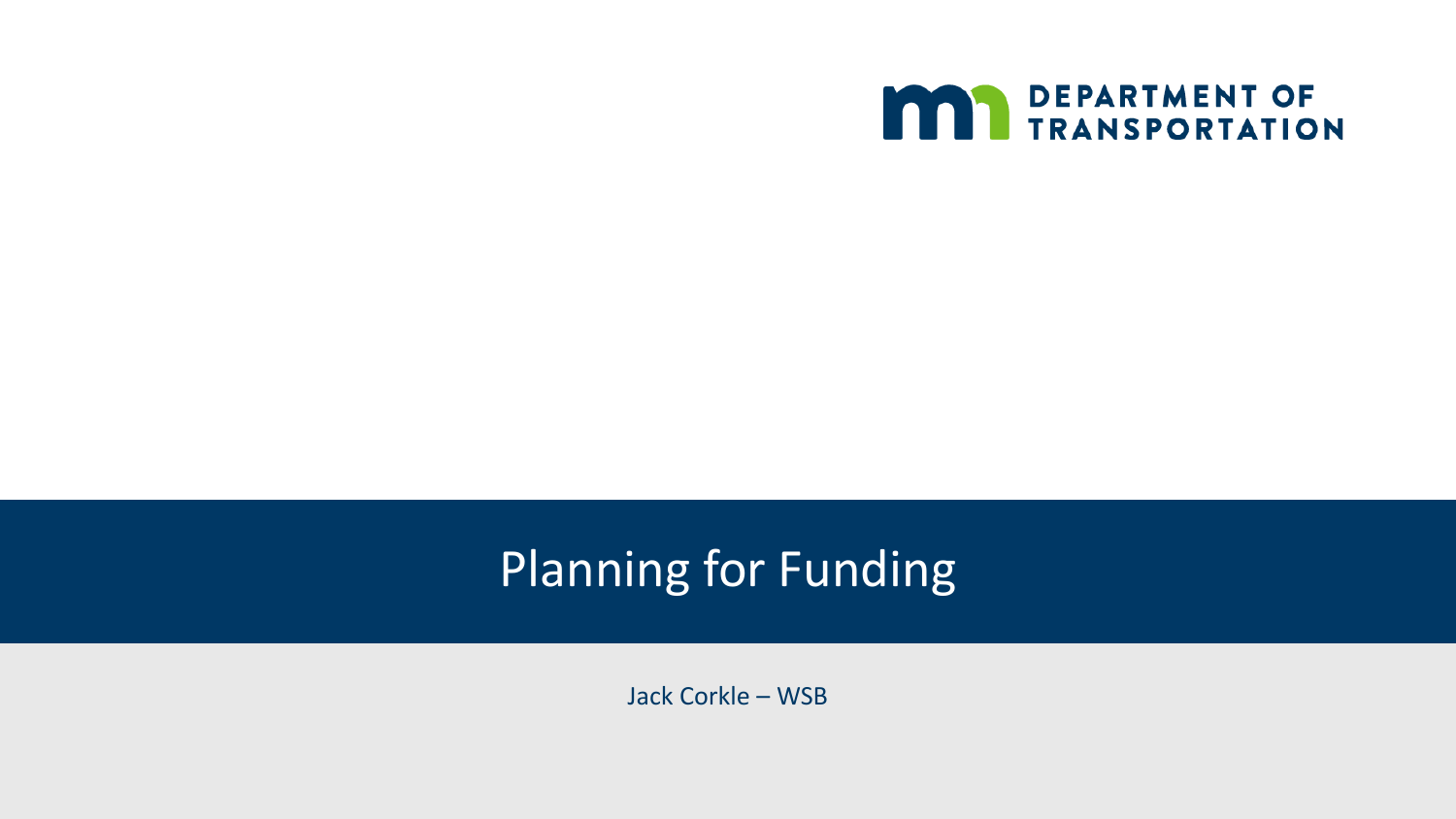

## Planning for Funding

Jack Corkle – WSB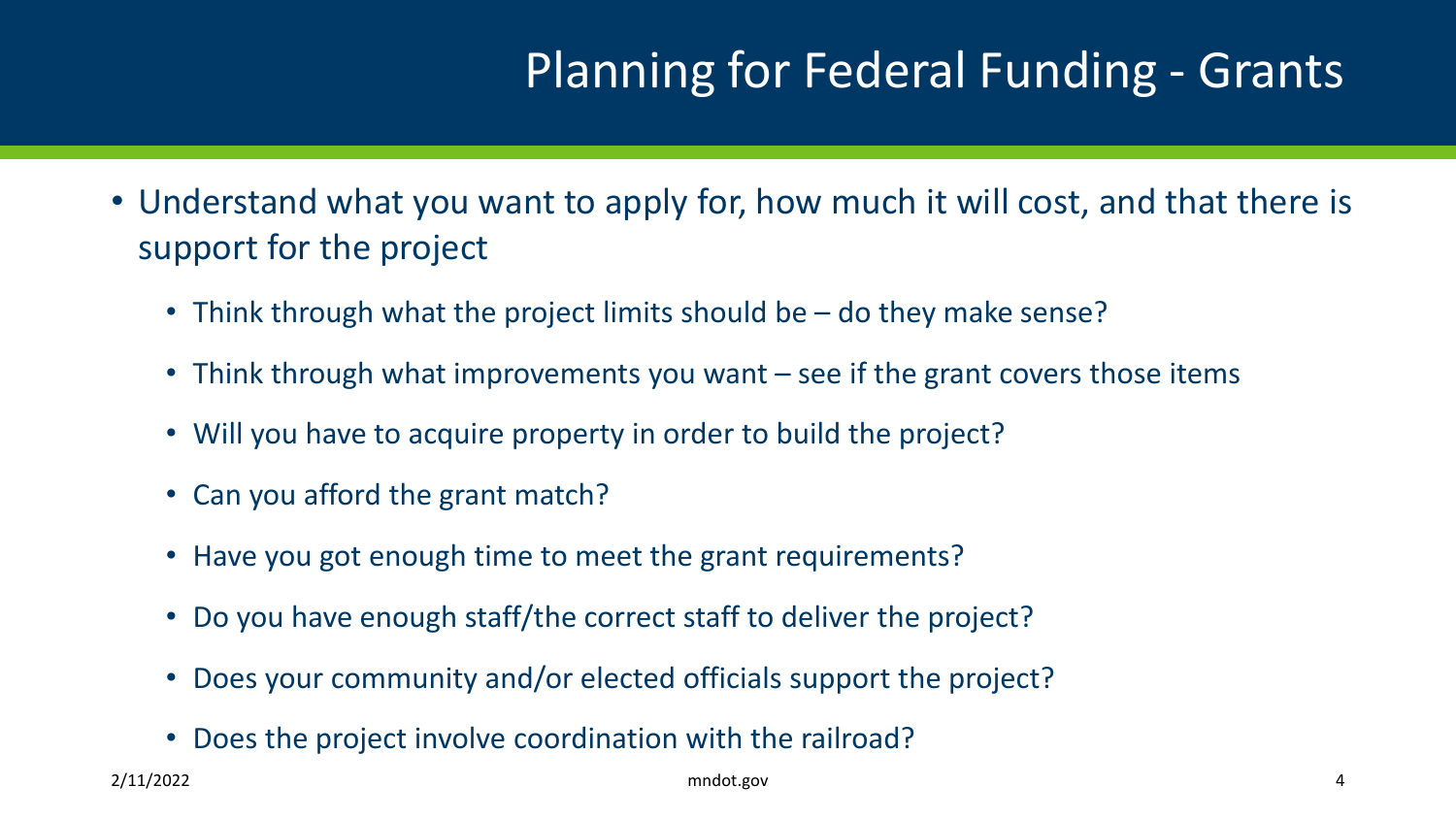## Planning for Federal Funding - Grants

- Understand what you want to apply for, how much it will cost, and that there is support for the project
	- Think through what the project limits should be do they make sense?
	- Think through what improvements you want see if the grant covers those items
	- Will you have to acquire property in order to build the project?
	- Can you afford the grant match?
	- Have you got enough time to meet the grant requirements?
	- Do you have enough staff/the correct staff to deliver the project?
	- Does your community and/or elected officials support the project?
	- Does the project involve coordination with the railroad?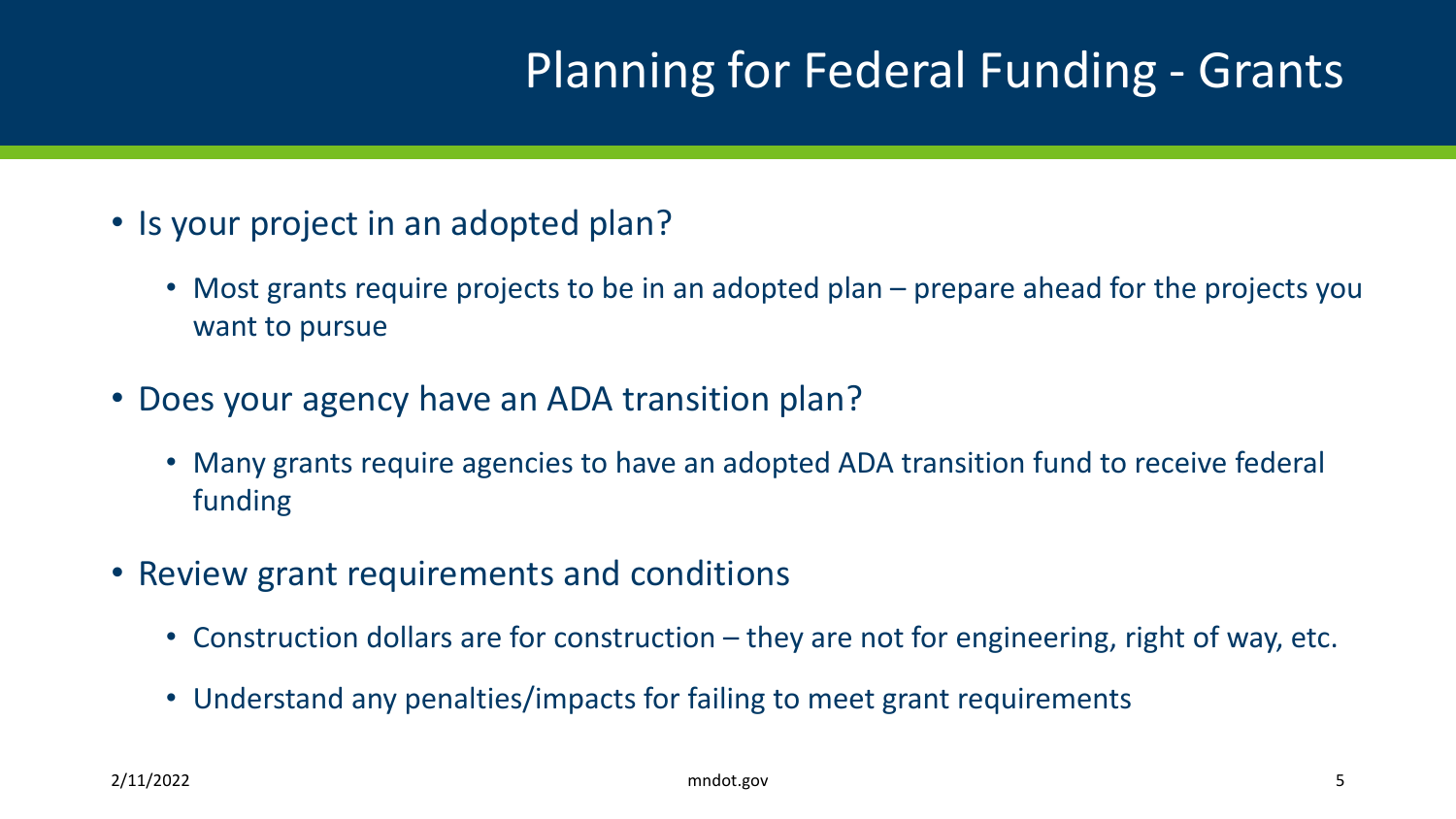## Planning for Federal Funding - Grants

- Is your project in an adopted plan?
	- Most grants require projects to be in an adopted plan prepare ahead for the projects you want to pursue
- Does your agency have an ADA transition plan?
	- Many grants require agencies to have an adopted ADA transition fund to receive federal funding
- Review grant requirements and conditions
	- Construction dollars are for construction they are not for engineering, right of way, etc.
	- Understand any penalties/impacts for failing to meet grant requirements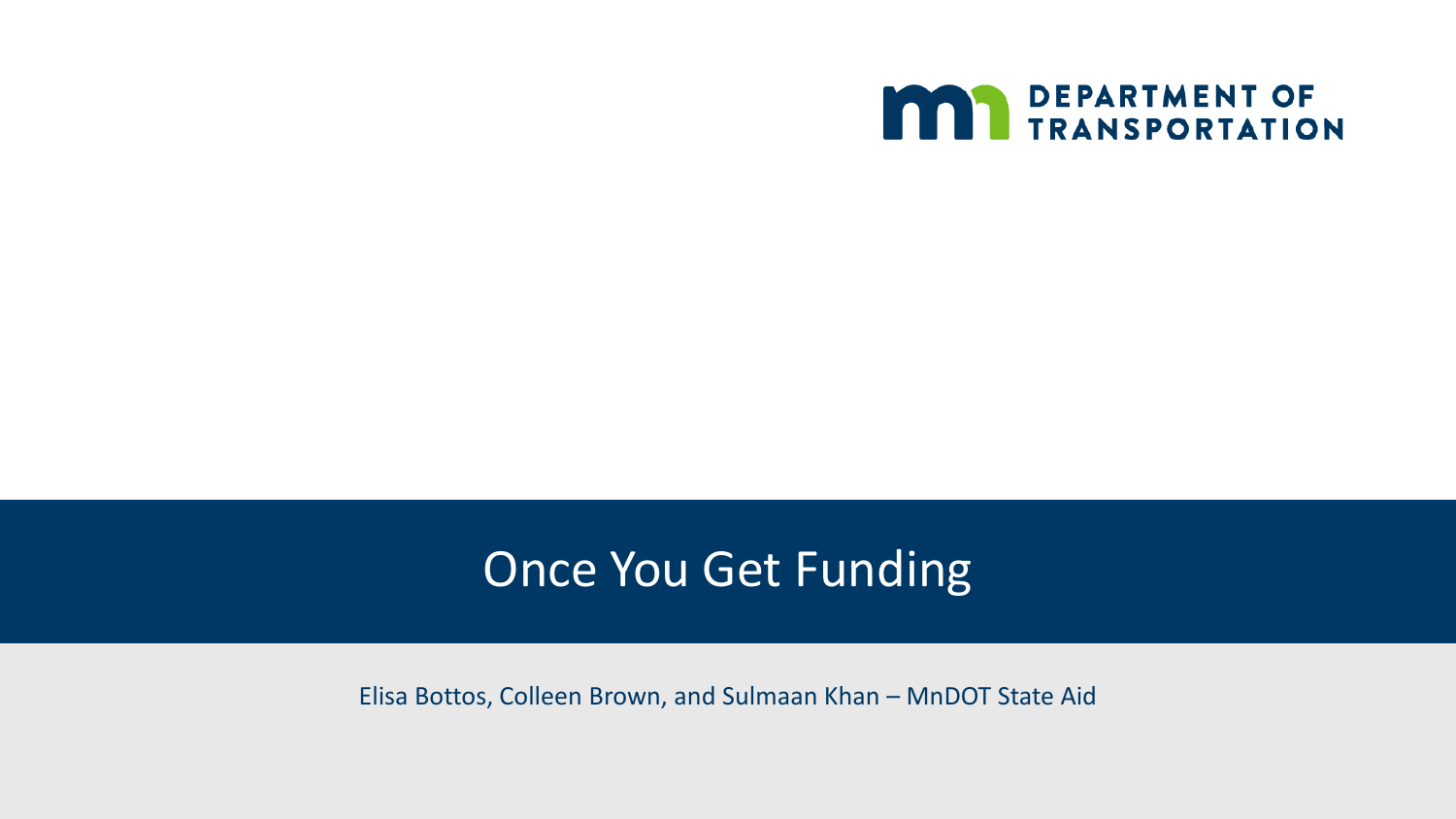

#### Once You Get Funding

Elisa Bottos, Colleen Brown, and Sulmaan Khan – MnDOT State Aid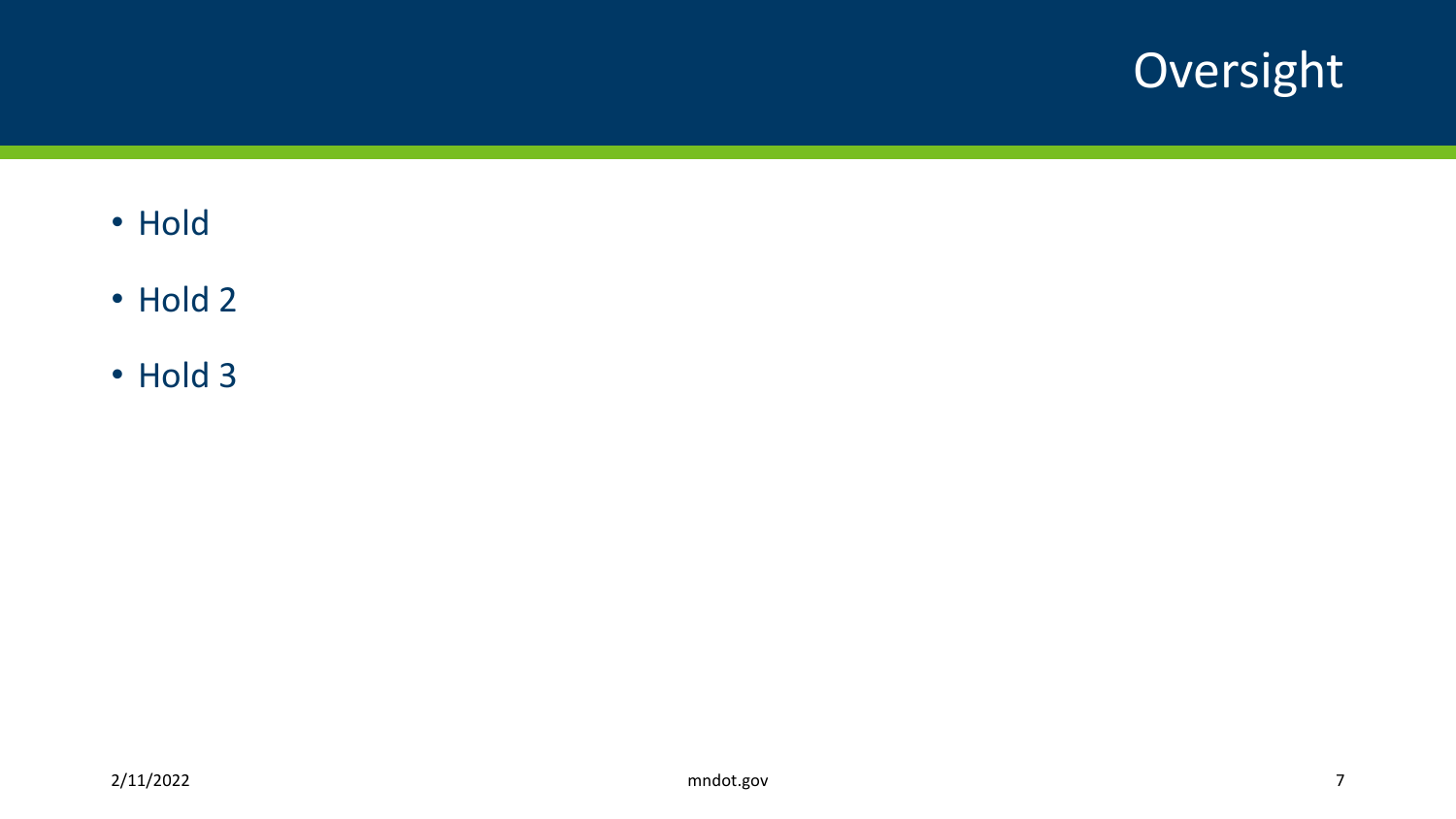

- Hold
- Hold 2
- Hold 3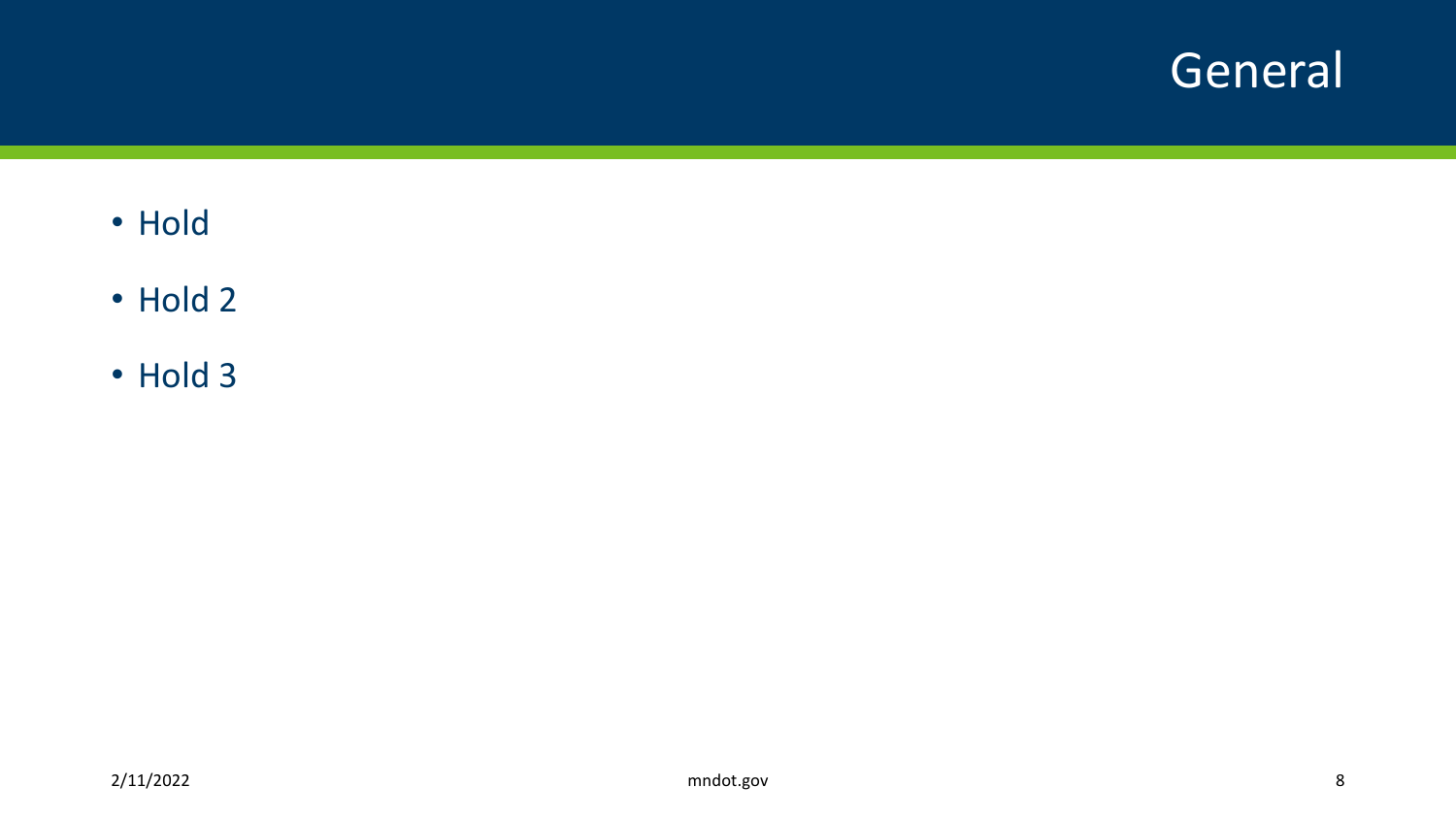#### General

- Hold
- Hold 2
- Hold 3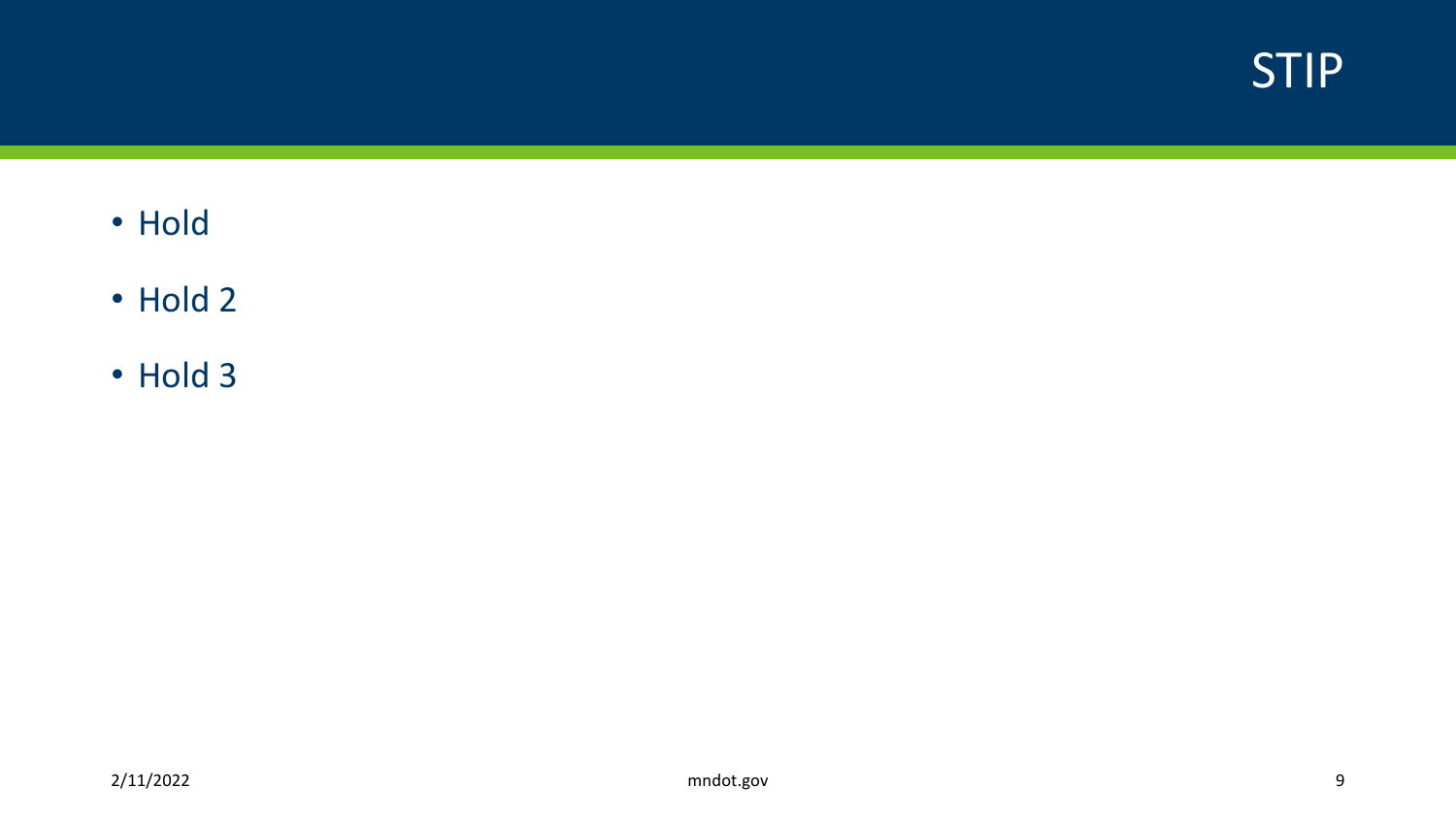

- Hold
- Hold 2
- Hold 3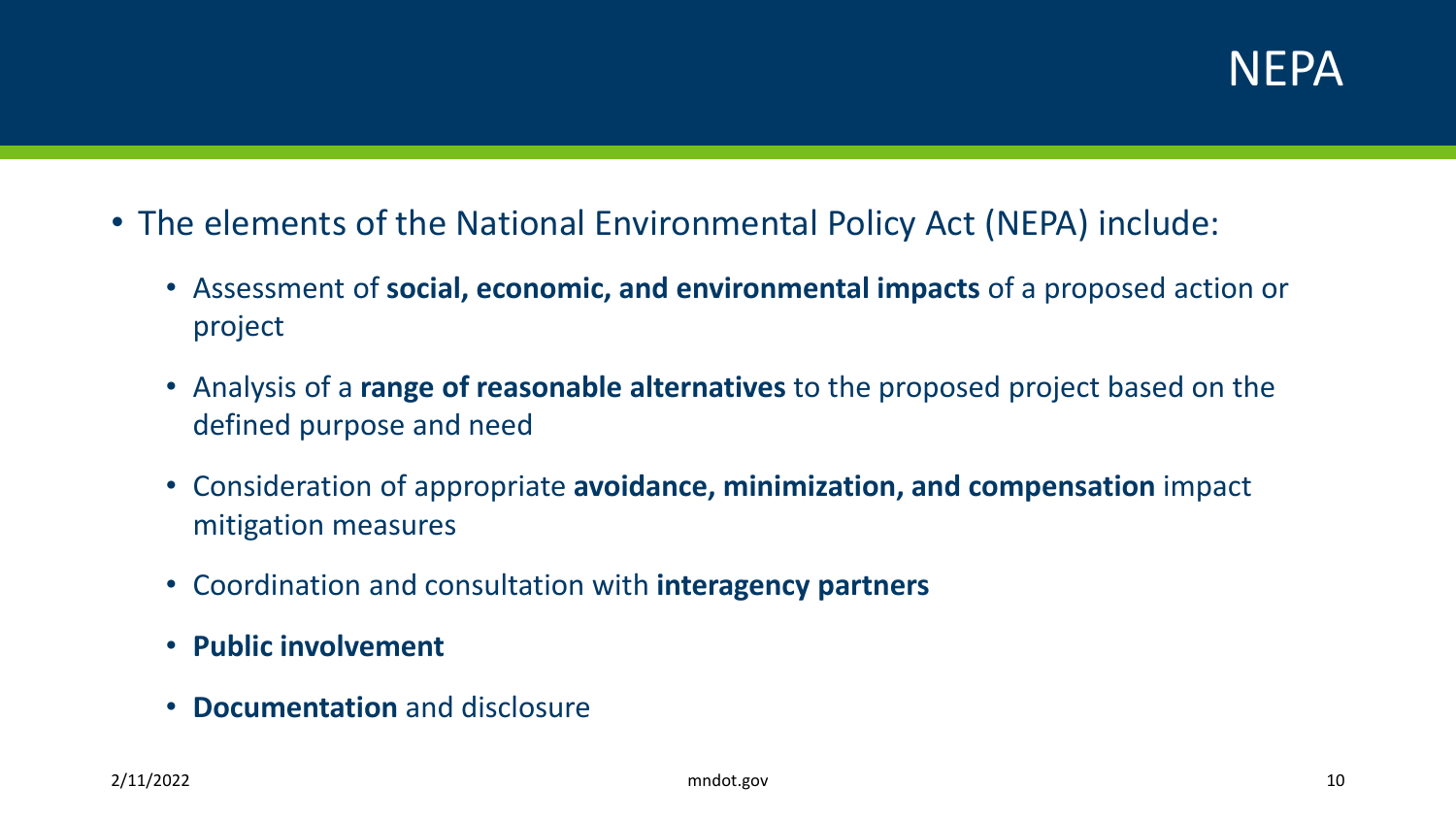

- The elements of the National Environmental Policy Act (NEPA) include:
	- Assessment of **social, economic, and environmental impacts** of a proposed action or project
	- Analysis of a **range of reasonable alternatives** to the proposed project based on the defined purpose and need
	- Consideration of appropriate **avoidance, minimization, and compensation** impact mitigation measures
	- Coordination and consultation with **interagency partners**
	- **Public involvement**
	- **Documentation** and disclosure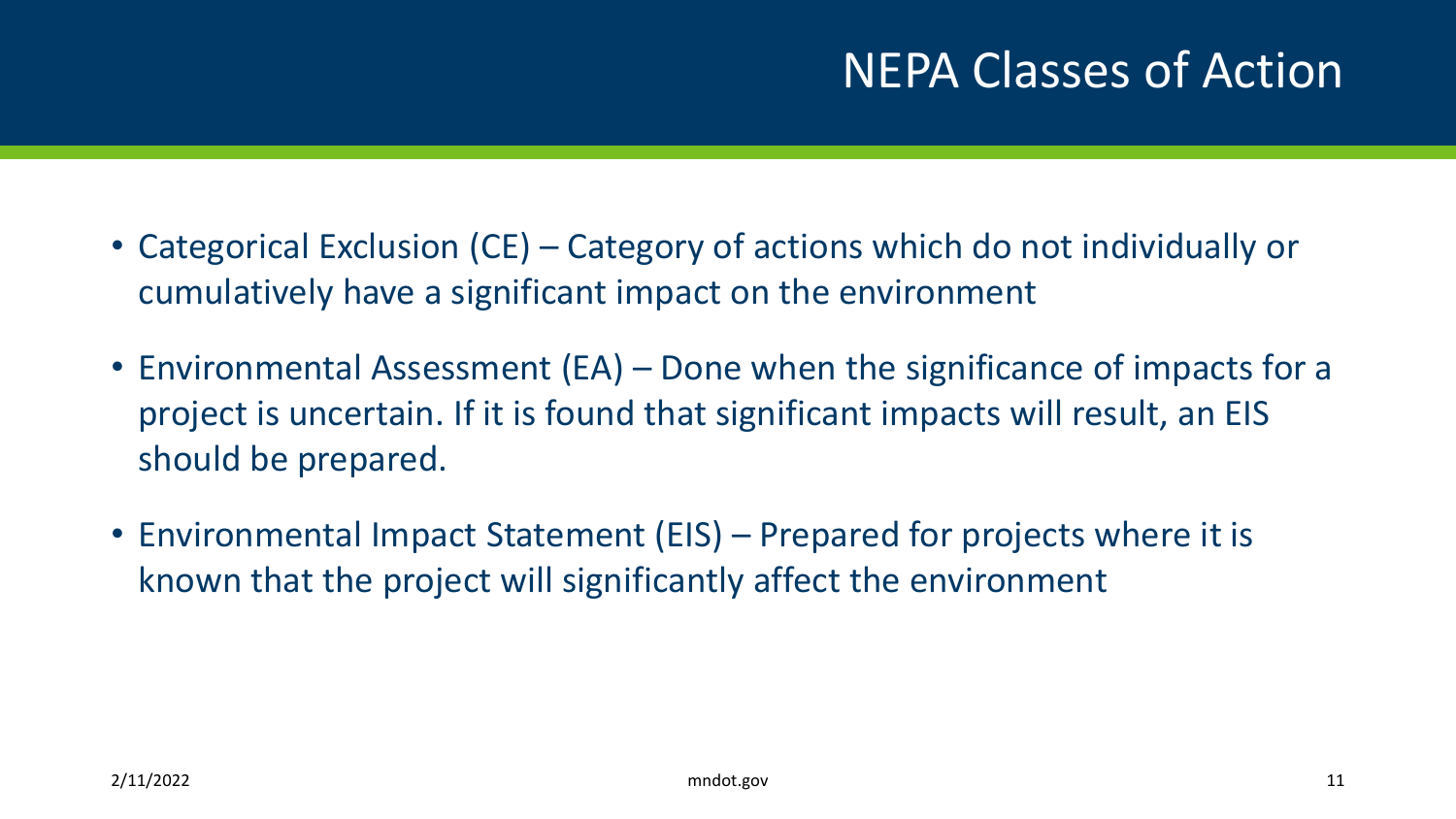- Categorical Exclusion (CE) Category of actions which do not individually or cumulatively have a significant impact on the environment
- Environmental Assessment (EA) Done when the significance of impacts for a project is uncertain. If it is found that significant impacts will result, an EIS should be prepared.
- Environmental Impact Statement (EIS) Prepared for projects where it is known that the project will significantly affect the environment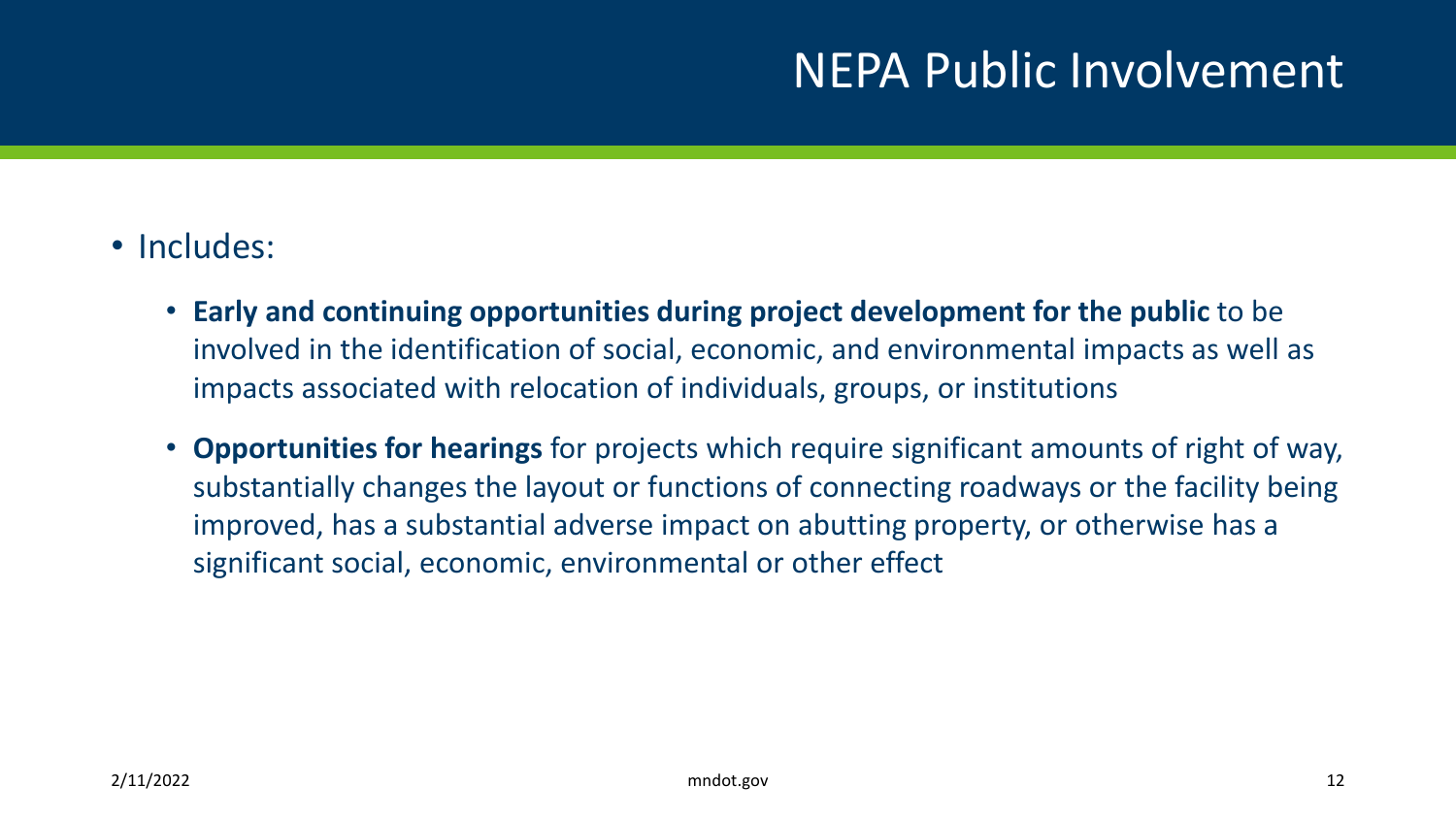#### NEPA Public Involvement

- Includes:
	- **Early and continuing opportunities during project development for the public** to be involved in the identification of social, economic, and environmental impacts as well as impacts associated with relocation of individuals, groups, or institutions
	- **Opportunities for hearings** for projects which require significant amounts of right of way, substantially changes the layout or functions of connecting roadways or the facility being improved, has a substantial adverse impact on abutting property, or otherwise has a significant social, economic, environmental or other effect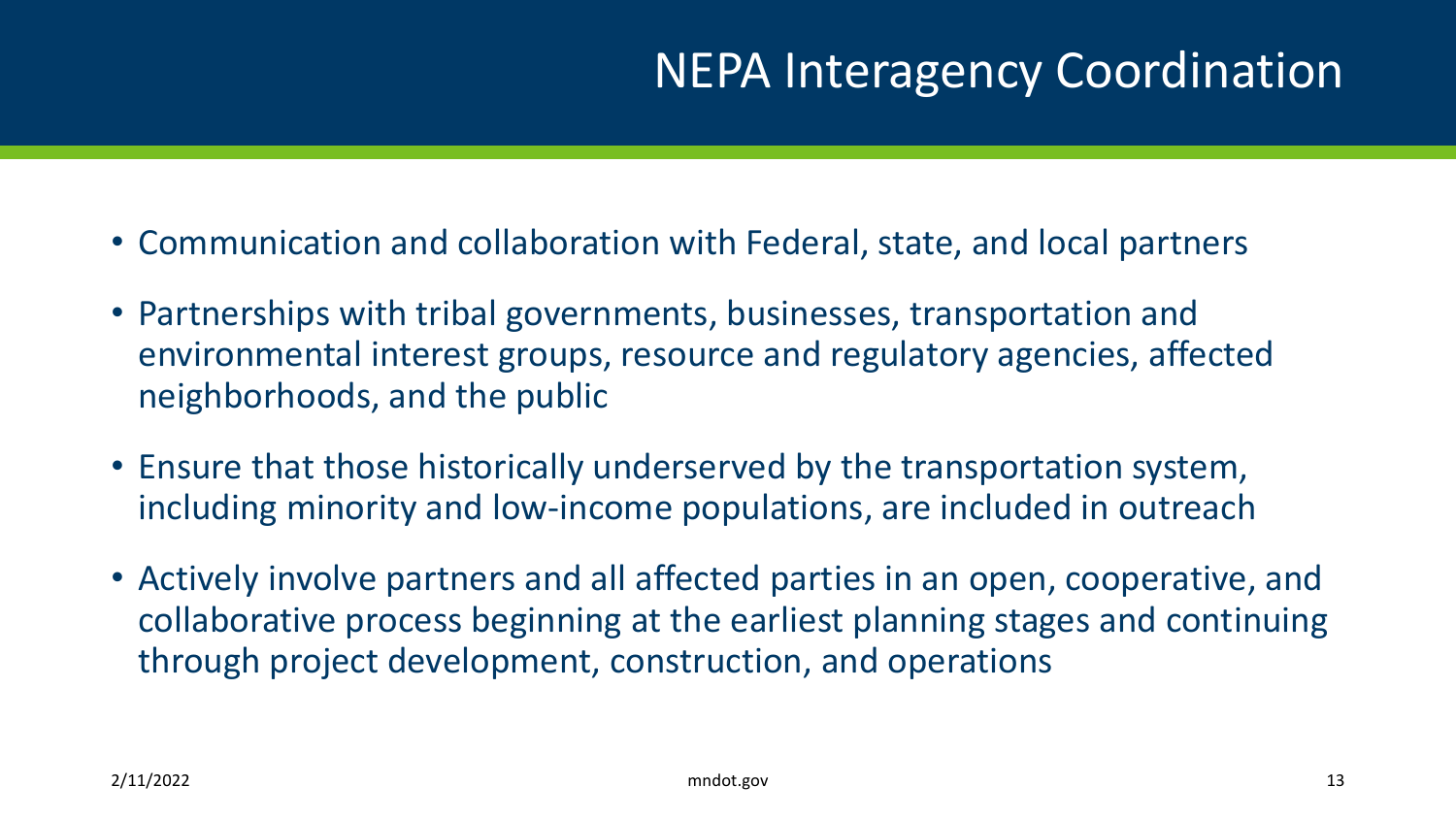- Communication and collaboration with Federal, state, and local partners
- Partnerships with tribal governments, businesses, transportation and environmental interest groups, resource and regulatory agencies, affected neighborhoods, and the public
- Ensure that those historically underserved by the transportation system, including minority and low-income populations, are included in outreach
- Actively involve partners and all affected parties in an open, cooperative, and collaborative process beginning at the earliest planning stages and continuing through project development, construction, and operations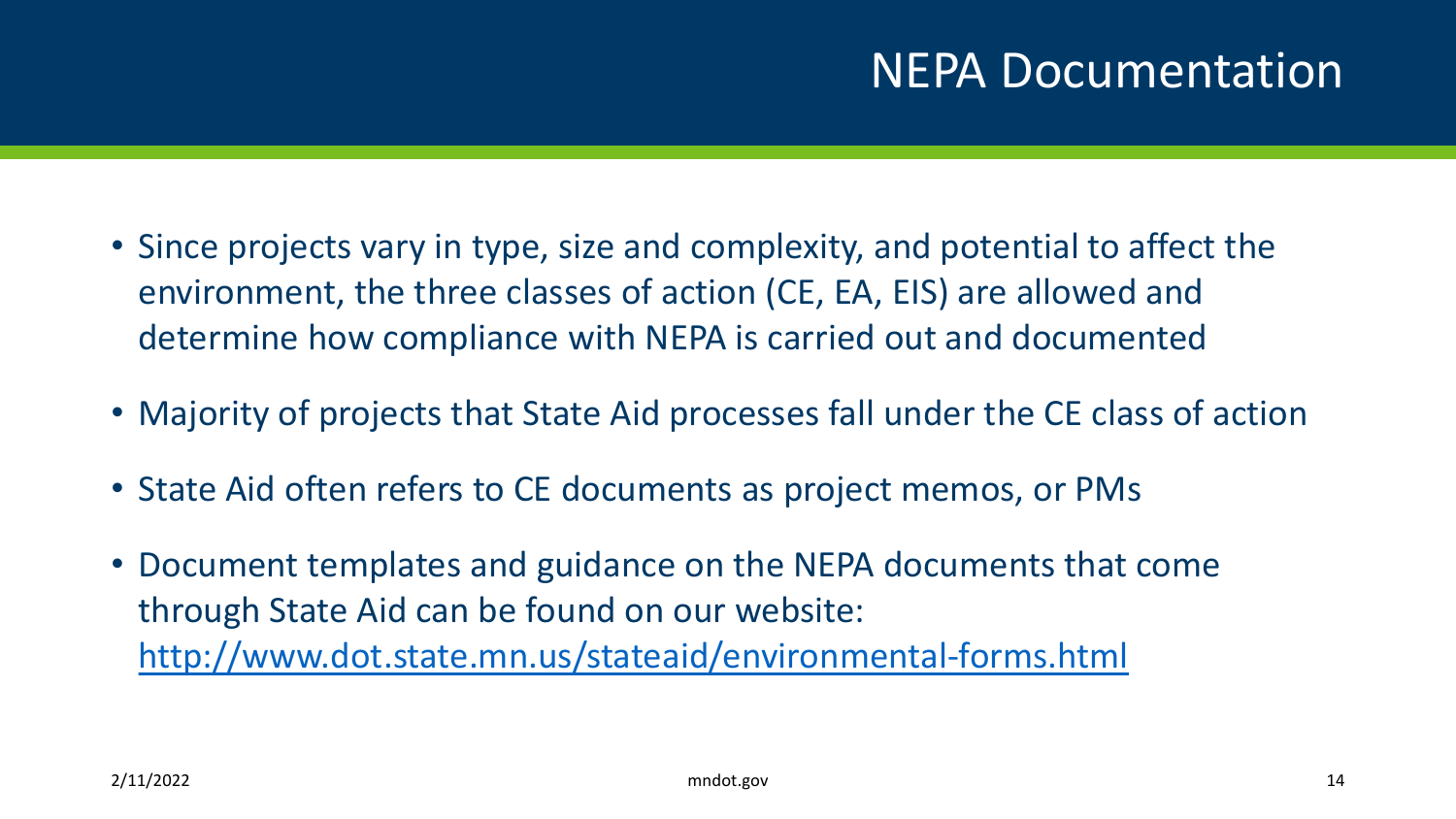- Since projects vary in type, size and complexity, and potential to affect the environment, the three classes of action (CE, EA, EIS) are allowed and determine how compliance with NEPA is carried out and documented
- Majority of projects that State Aid processes fall under the CE class of action
- State Aid often refers to CE documents as project memos, or PMs
- Document templates and guidance on the NEPA documents that come through State Aid can be found on our website: <http://www.dot.state.mn.us/stateaid/environmental-forms.html>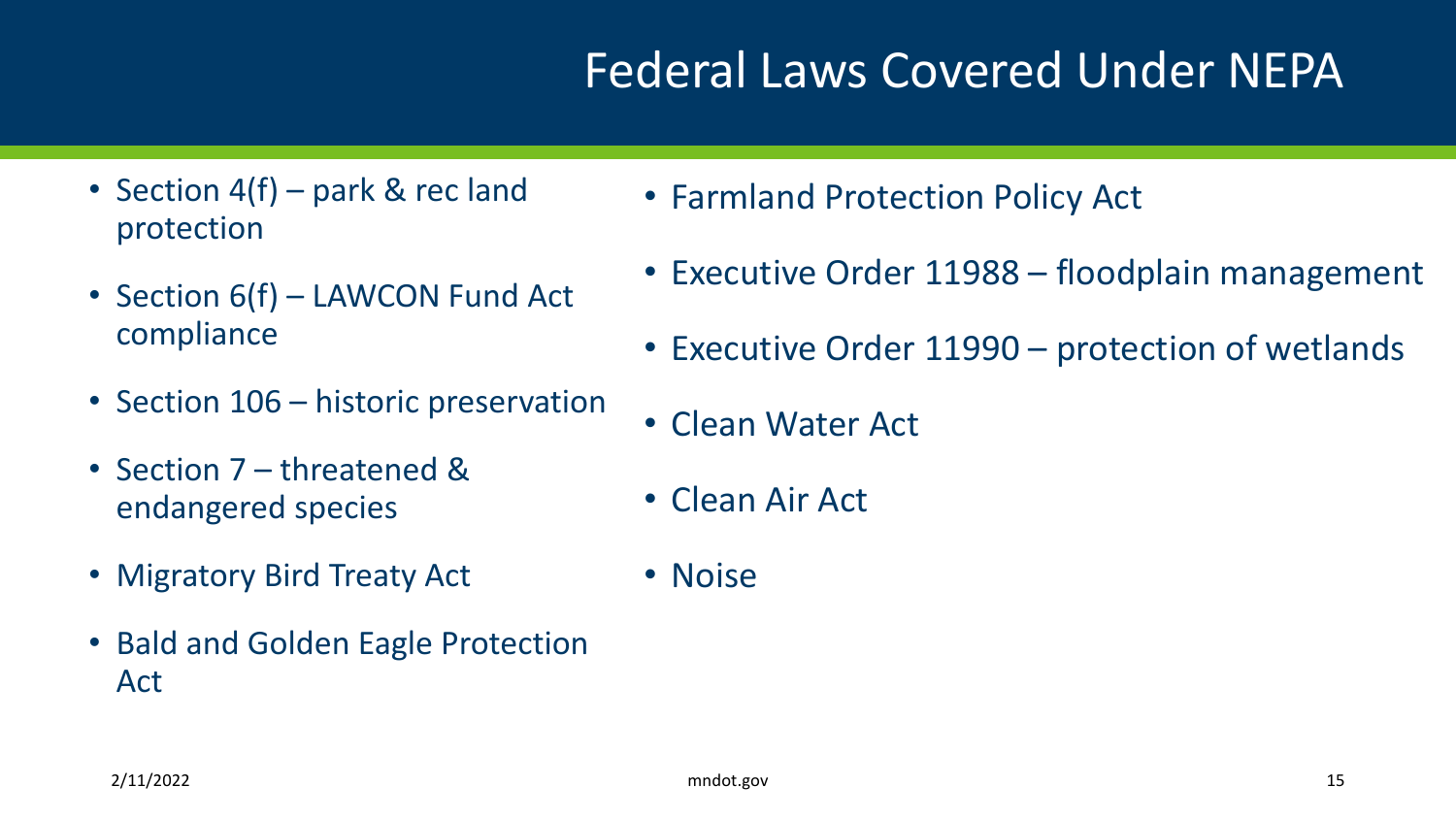## Federal Laws Covered Under NEPA

- Section 4(f) park & rec land protection
- Section 6(f) LAWCON Fund Act compliance
- Section 106 historic preservation
- Section 7 threatened & endangered species
- Migratory Bird Treaty Act
- Bald and Golden Eagle Protection Act
- Farmland Protection Policy Act
- Executive Order 11988 floodplain management
- Executive Order 11990 protection of wetlands
- Clean Water Act
- Clean Air Act
- Noise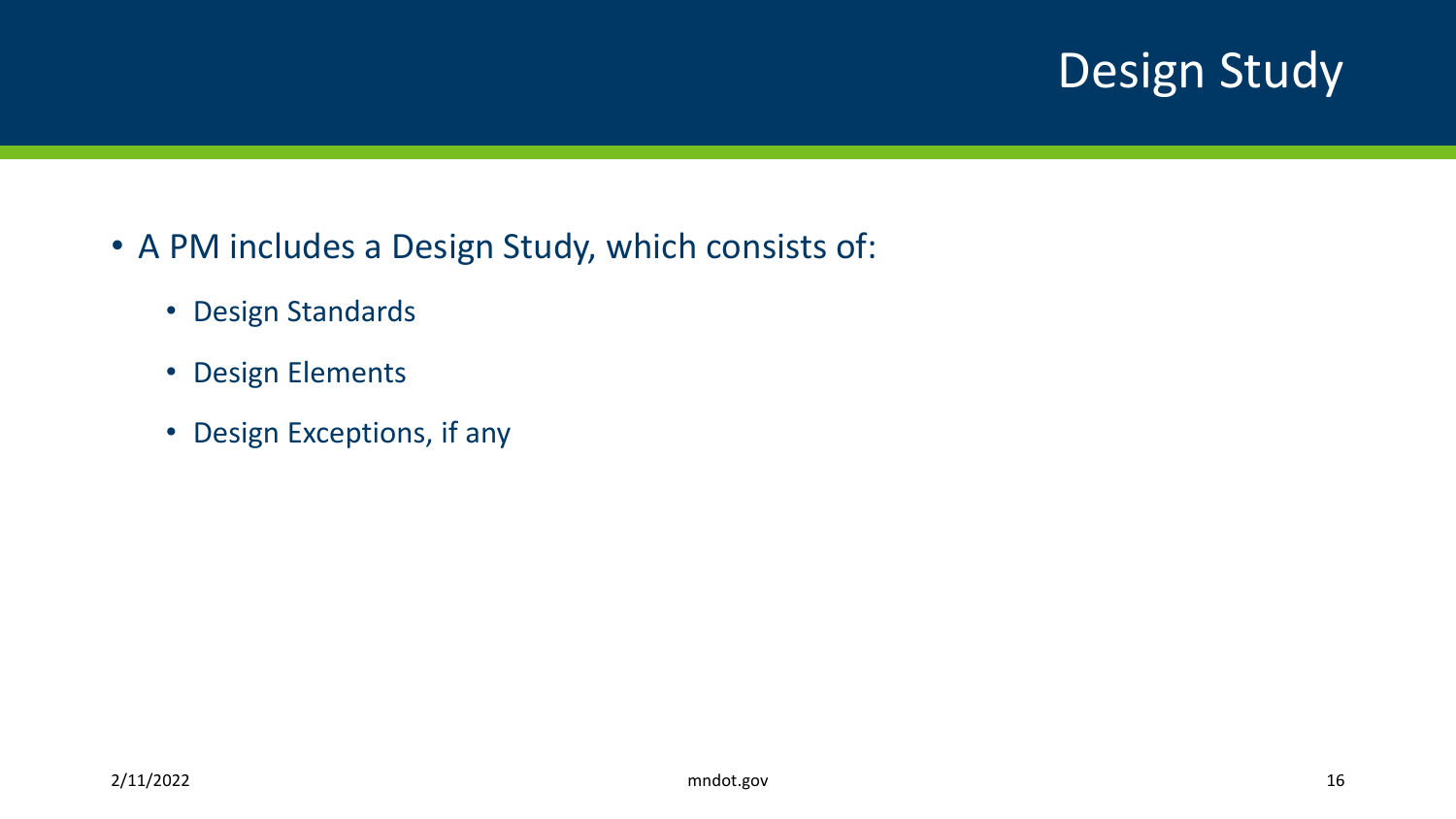## Design Study

- A PM includes a Design Study, which consists of:
	- Design Standards
	- Design Elements
	- Design Exceptions, if any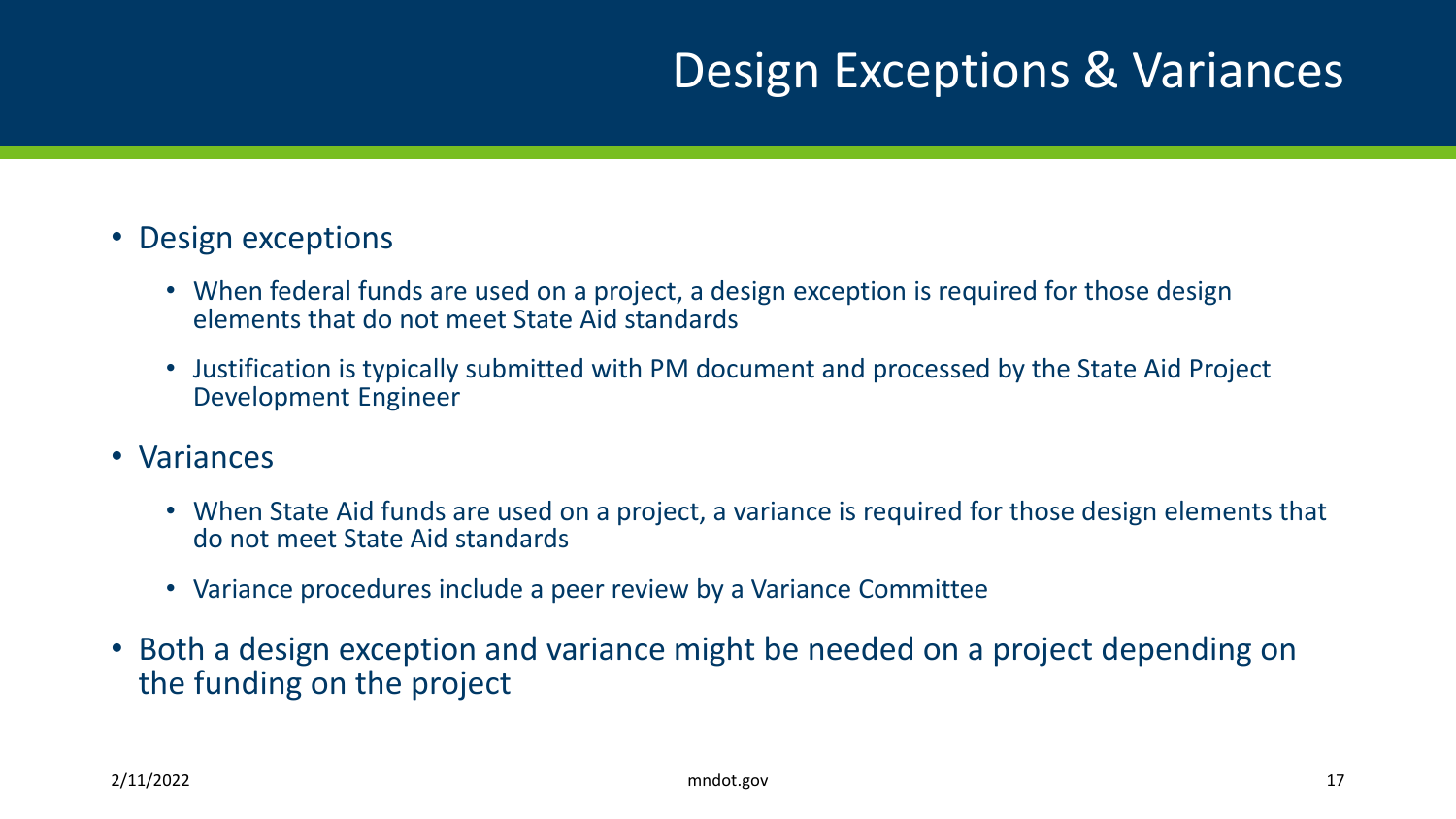### Design Exceptions & Variances

- Design exceptions
	- When federal funds are used on a project, a design exception is required for those design elements that do not meet State Aid standards
	- Justification is typically submitted with PM document and processed by the State Aid Project Development Engineer
- Variances
	- When State Aid funds are used on a project, a variance is required for those design elements that do not meet State Aid standards
	- Variance procedures include a peer review by a Variance Committee
- Both a design exception and variance might be needed on a project depending on the funding on the project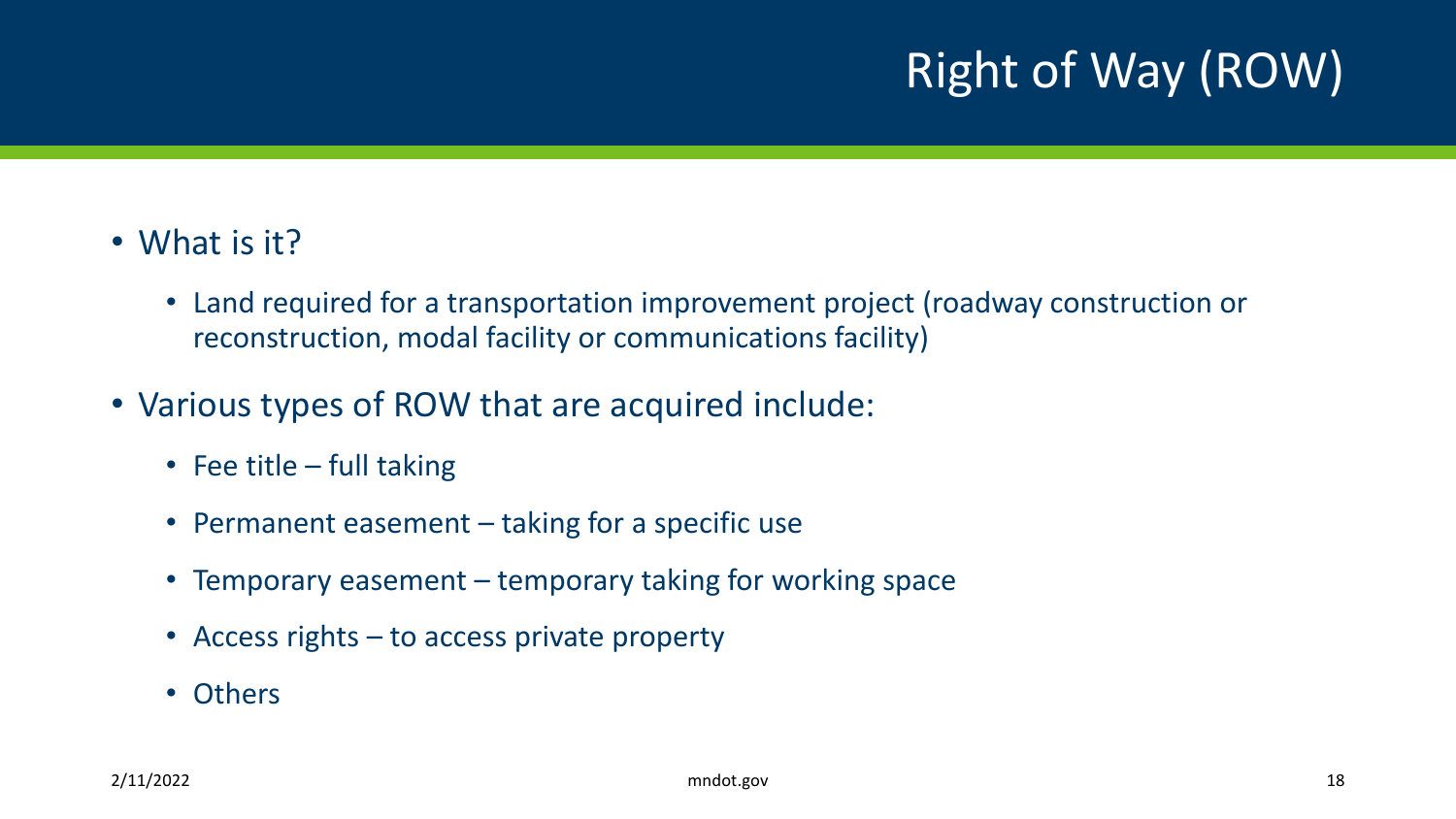## Right of Way (ROW)

- What is it?
	- Land required for a transportation improvement project (roadway construction or reconstruction, modal facility or communications facility)
- Various types of ROW that are acquired include:
	- Fee title full taking
	- Permanent easement taking for a specific use
	- Temporary easement temporary taking for working space
	- Access rights to access private property
	- Others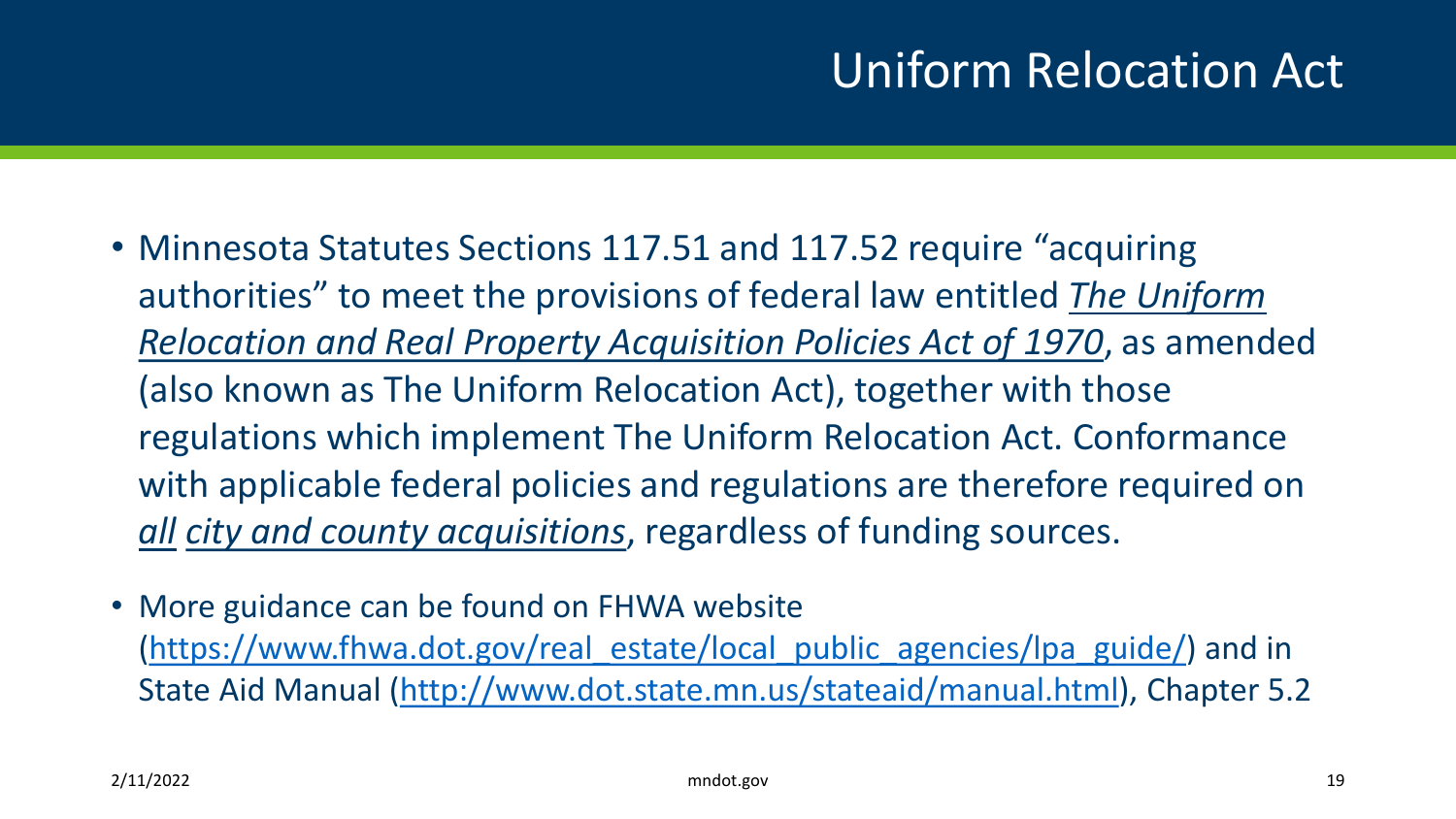#### Uniform Relocation Act

- Minnesota Statutes Sections 117.51 and 117.52 require "acquiring authorities" to meet the provisions of federal law entitled *The Uniform Relocation and Real Property Acquisition Policies Act of 1970*, as amended (also known as The Uniform Relocation Act), together with those regulations which implement The Uniform Relocation Act. Conformance with applicable federal policies and regulations are therefore required on *all city and county acquisitions*, regardless of funding sources.
- More guidance can be found on FHWA website [\(https://www.fhwa.dot.gov/real\\_estate/local\\_public\\_agencies/lpa\\_guide/\)](https://www.fhwa.dot.gov/real_estate/local_public_agencies/lpa_guide/) and in State Aid Manual ([http://www.dot.state.mn.us/stateaid/manual.html\)](http://www.dot.state.mn.us/stateaid/manual.html), Chapter 5.2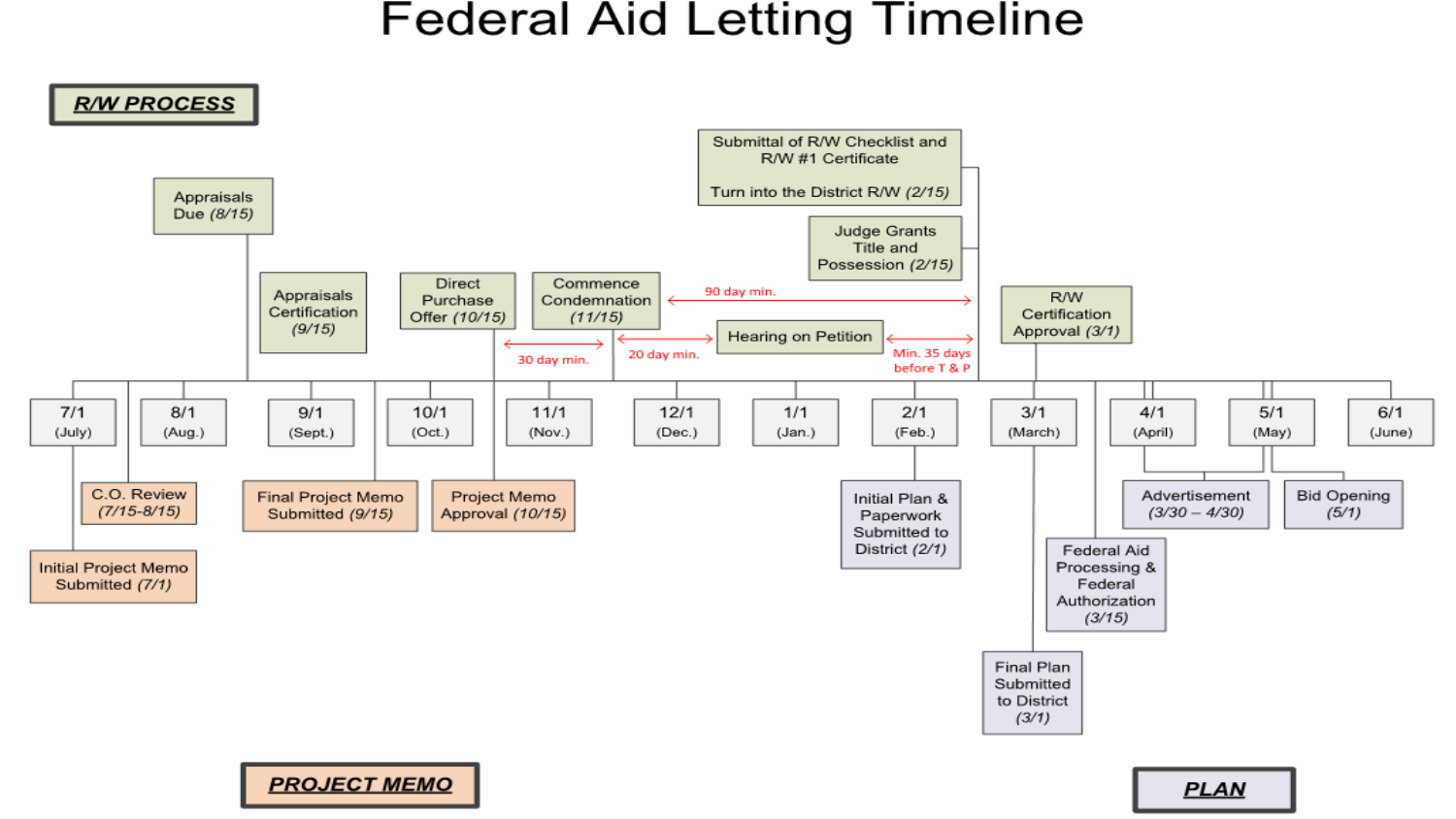#### **Federal Aid Letting Timeline**



PROJECT MEMO | PLAN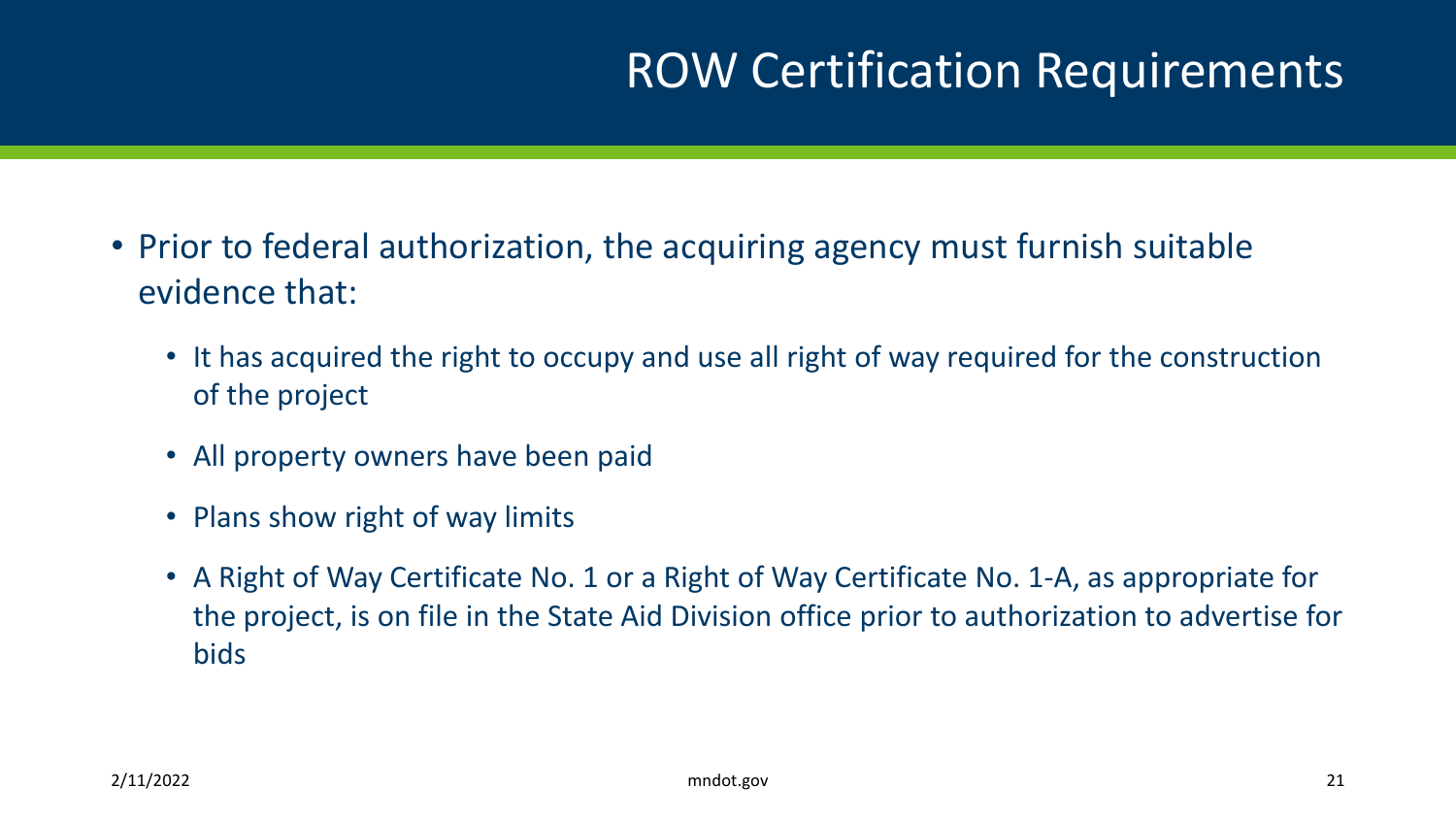#### ROW Certification Requirements

- Prior to federal authorization, the acquiring agency must furnish suitable evidence that:
	- It has acquired the right to occupy and use all right of way required for the construction of the project
	- All property owners have been paid
	- Plans show right of way limits
	- A Right of Way Certificate No. 1 or a Right of Way Certificate No. 1-A, as appropriate for the project, is on file in the State Aid Division office prior to authorization to advertise for bids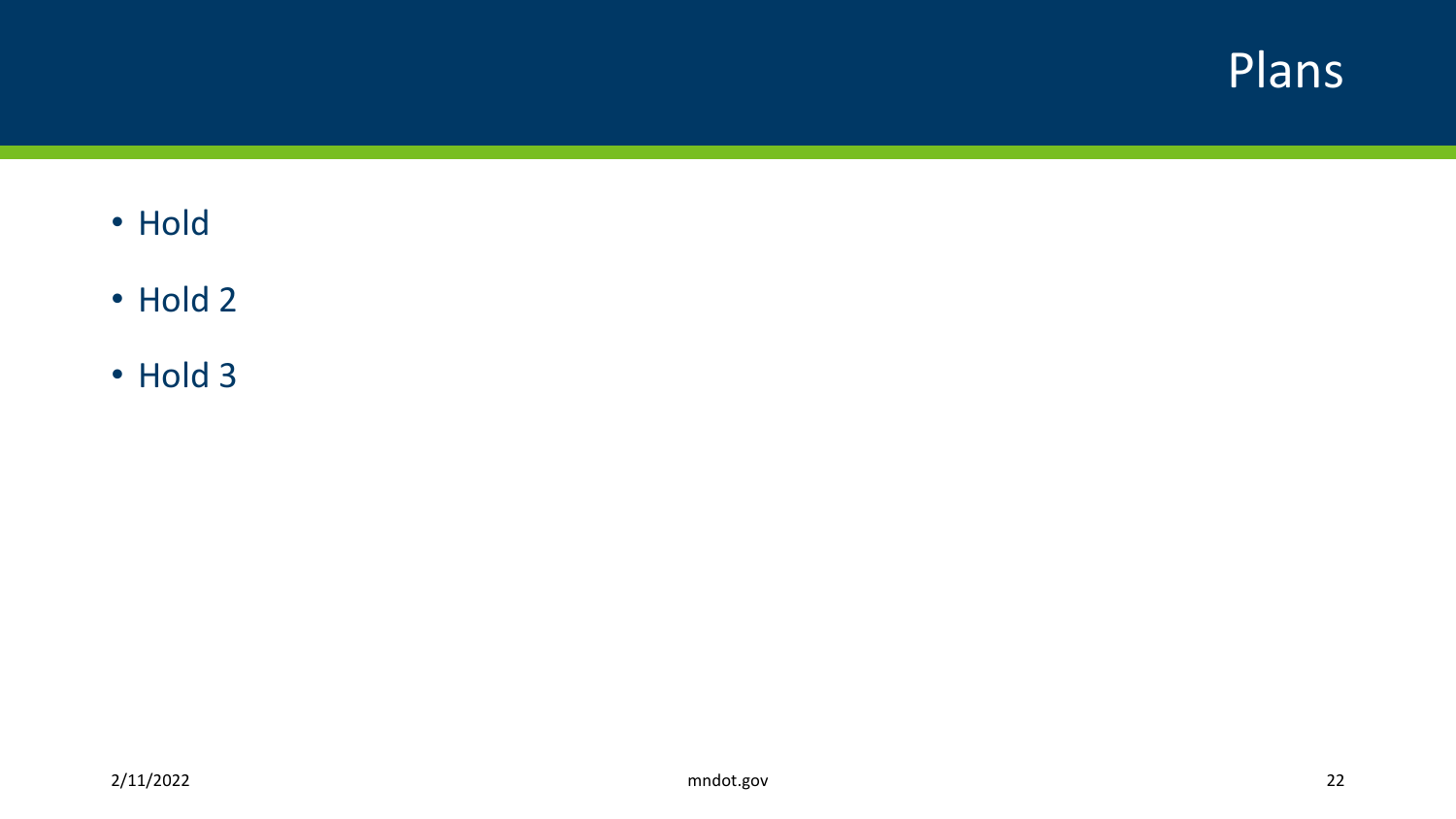

- Hold
- Hold 2
- Hold 3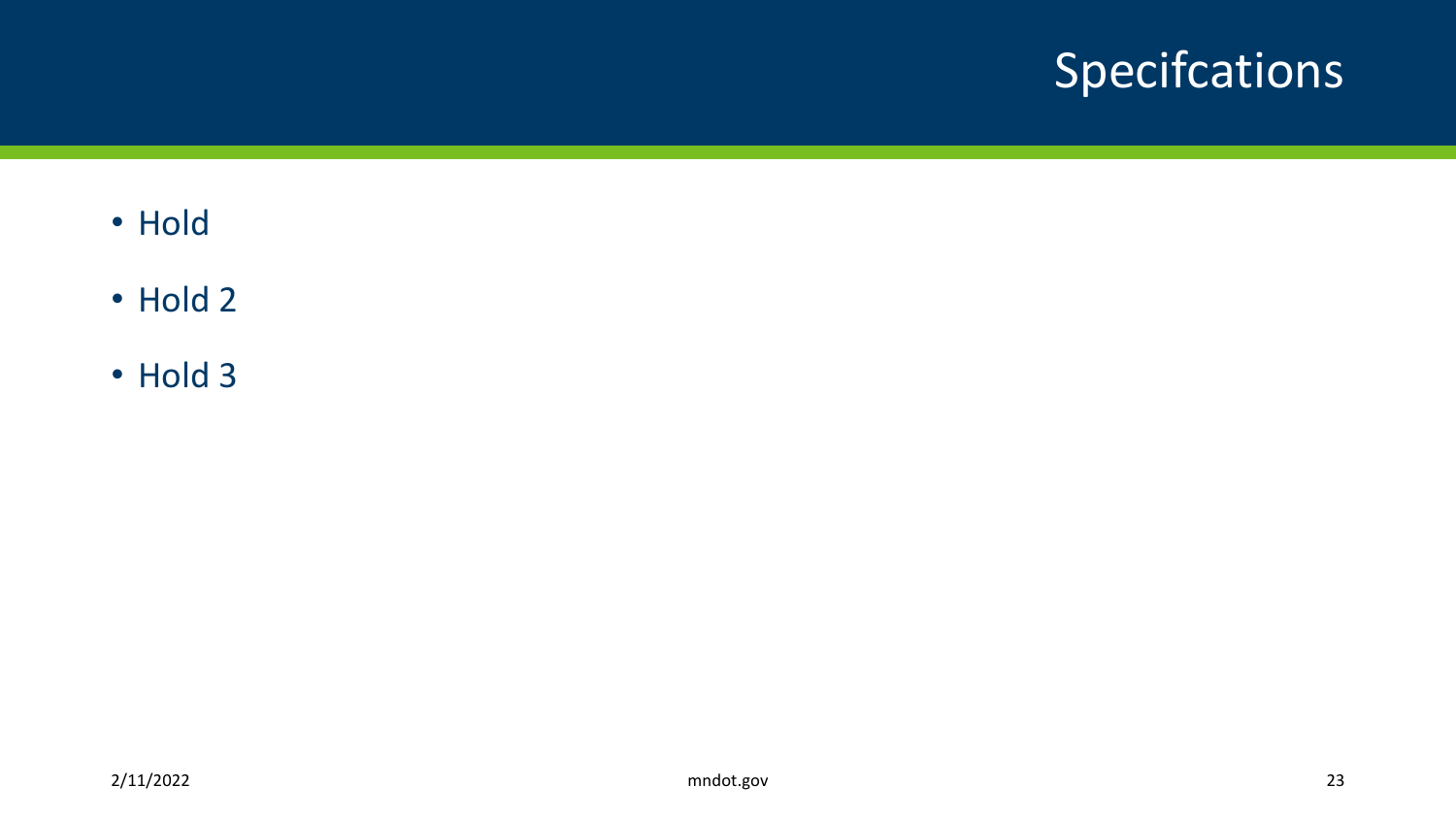## Specifcations

- Hold
- Hold 2
- Hold 3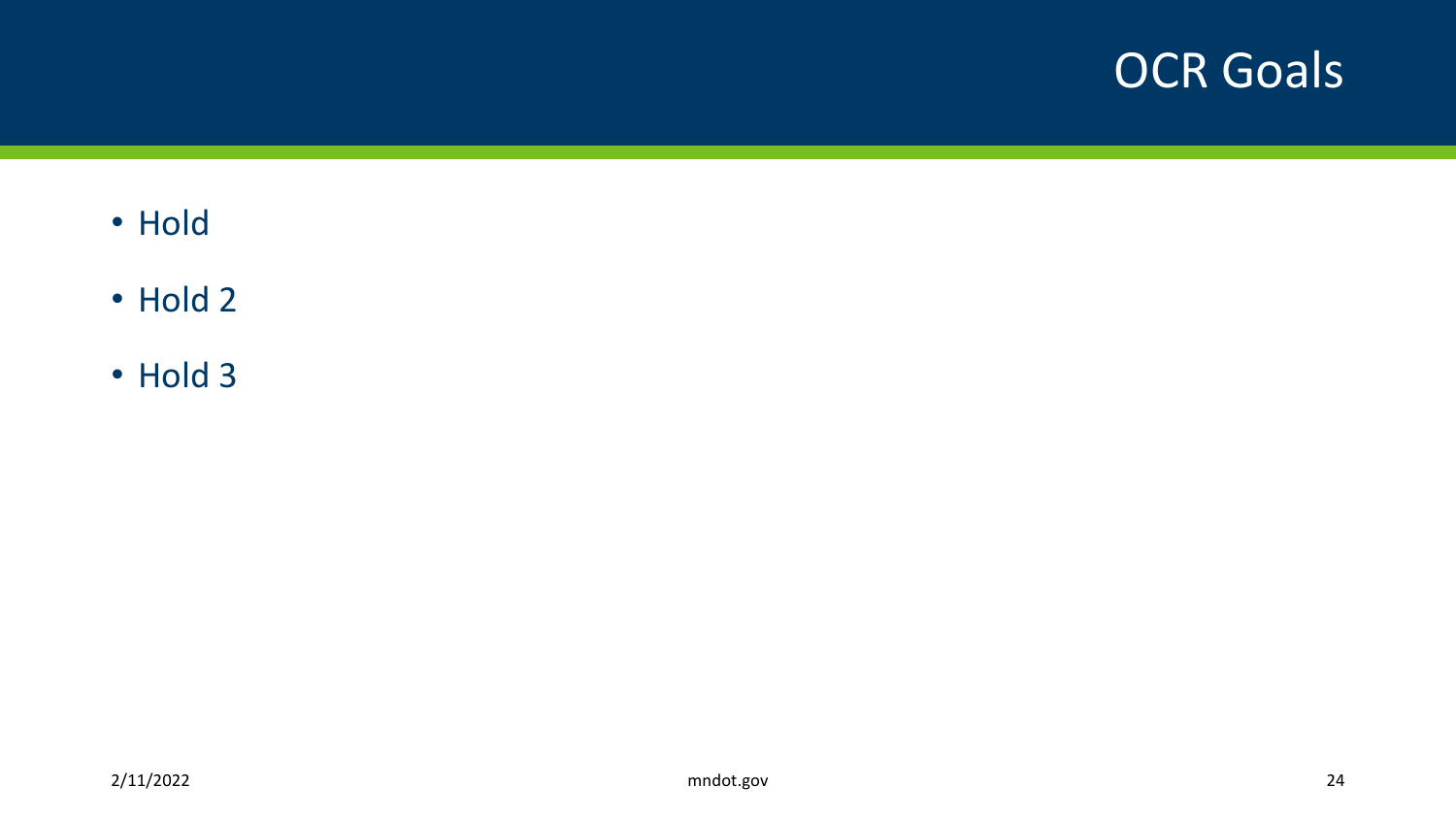#### OCR Goals

- Hold
- Hold 2
- Hold 3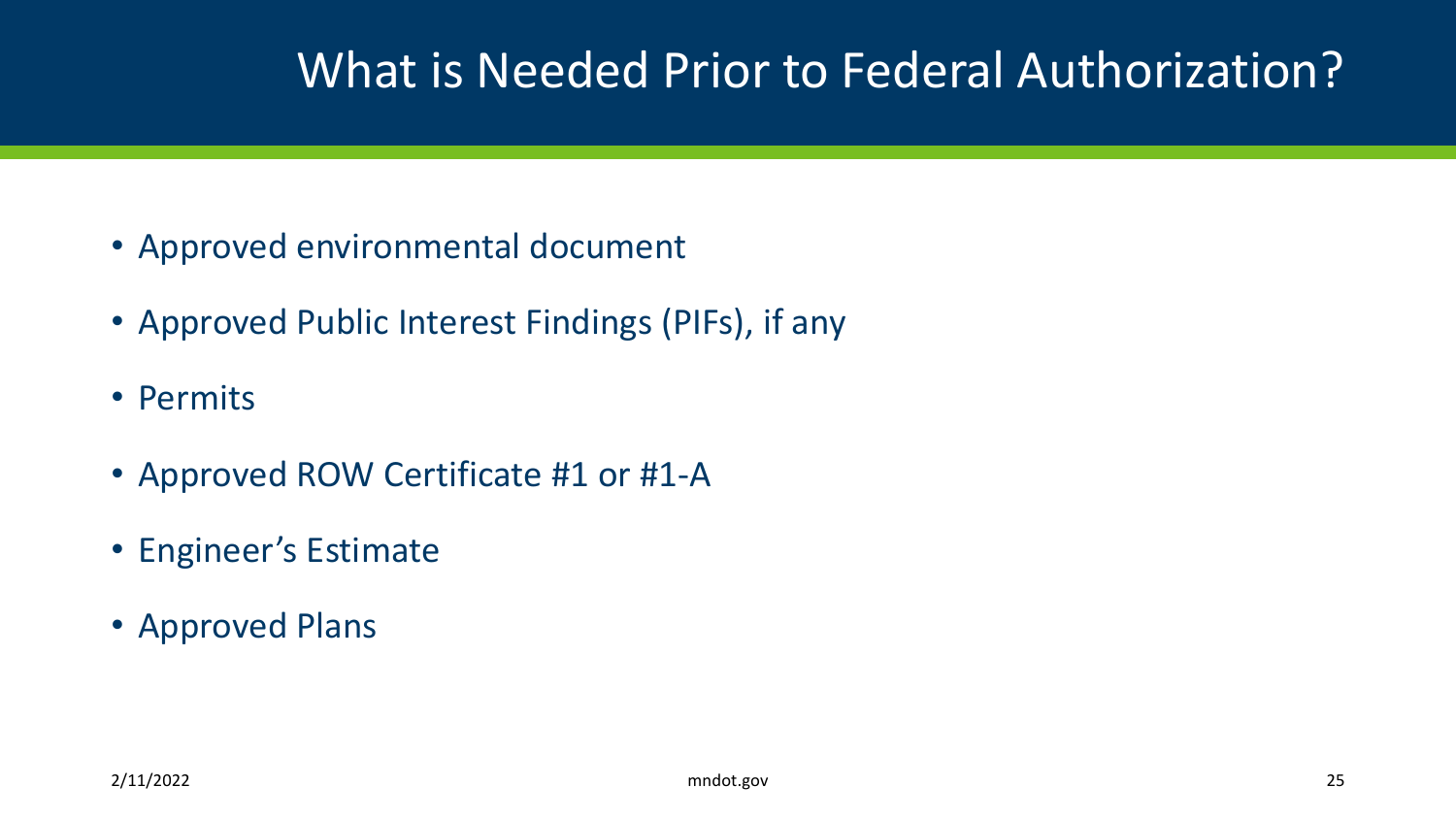### What is Needed Prior to Federal Authorization?

- Approved environmental document
- Approved Public Interest Findings (PIFs), if any
- Permits
- Approved ROW Certificate #1 or #1-A
- Engineer's Estimate
- Approved Plans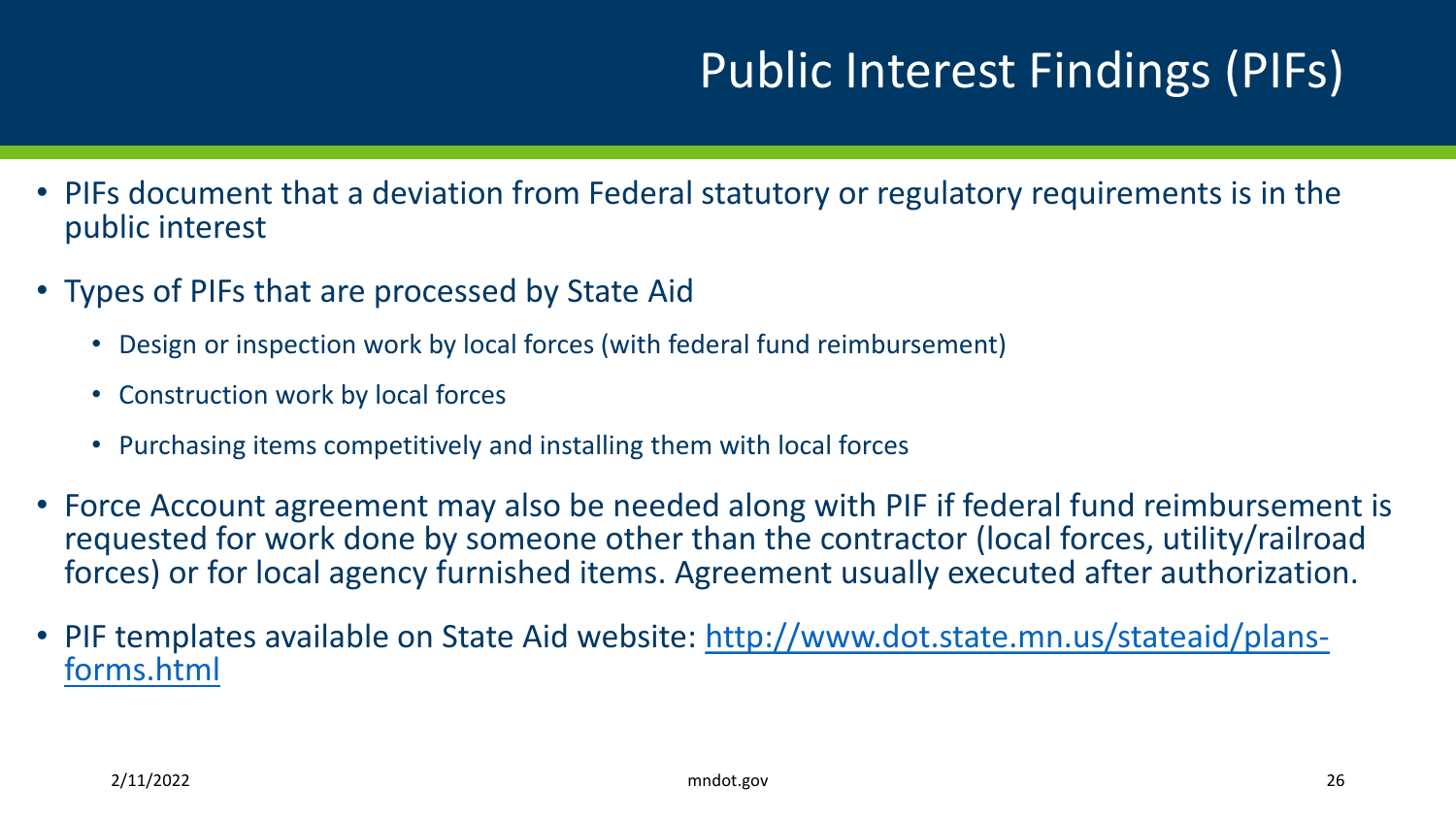## Public Interest Findings (PIFs)

- PIFs document that a deviation from Federal statutory or regulatory requirements is in the public interest
- Types of PIFs that are processed by State Aid
	- Design or inspection work by local forces (with federal fund reimbursement)
	- Construction work by local forces
	- Purchasing items competitively and installing them with local forces
- Force Account agreement may also be needed along with PIF if federal fund reimbursement is requested for work done by someone other than the contractor (local forces, utility/railroad forces) or for local agency furnished items. Agreement usually executed after authorization.
- [PIF templates available on State Aid website: http://www.dot.state.mn.us/stateaid/plans-](http://www.dot.state.mn.us/stateaid/plans-forms.html) forms.html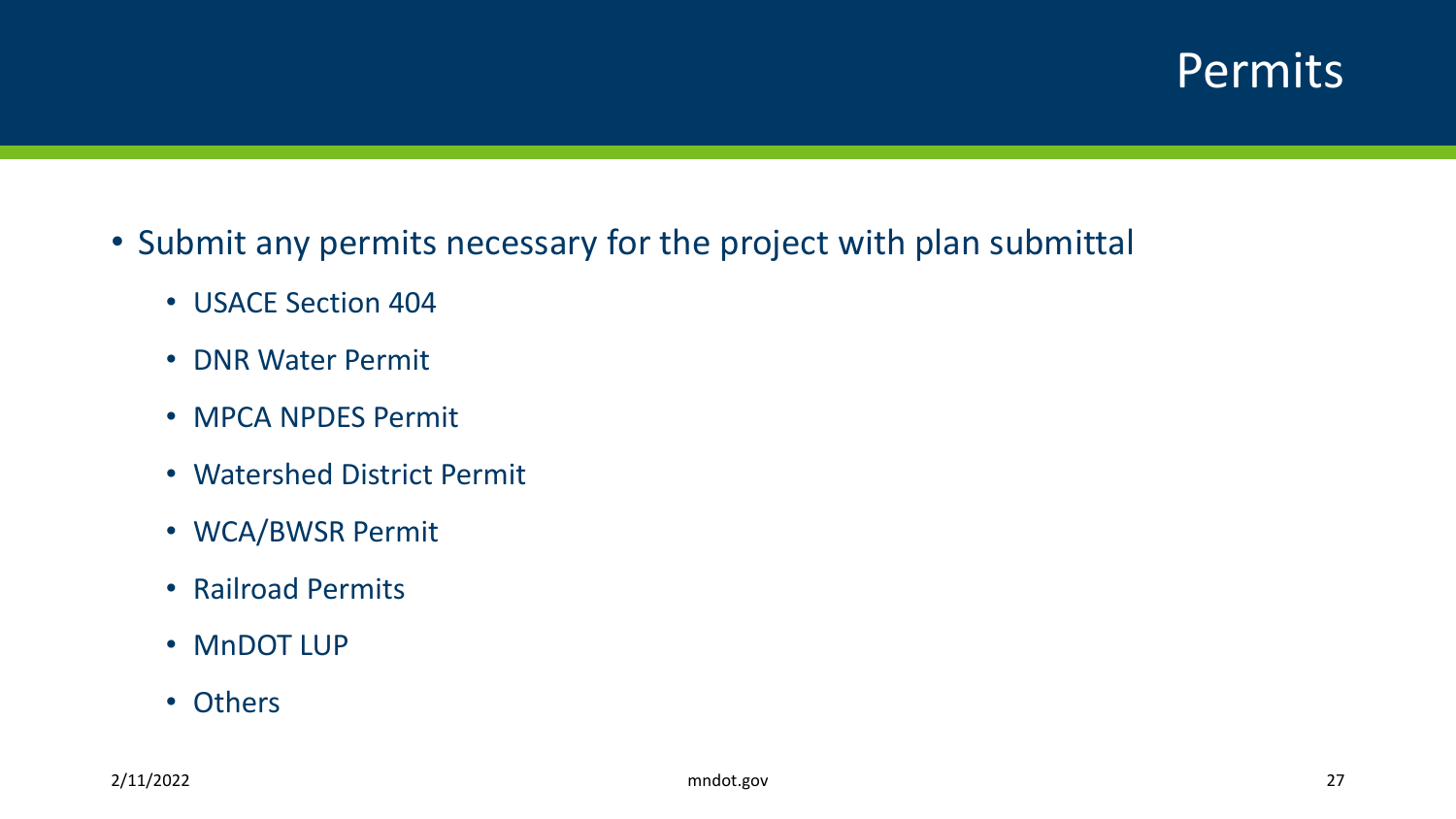#### Permits

- Submit any permits necessary for the project with plan submittal
	- USACE Section 404
	- DNR Water Permit
	- MPCA NPDES Permit
	- Watershed District Permit
	- WCA/BWSR Permit
	- Railroad Permits
	- MnDOT LUP
	- Others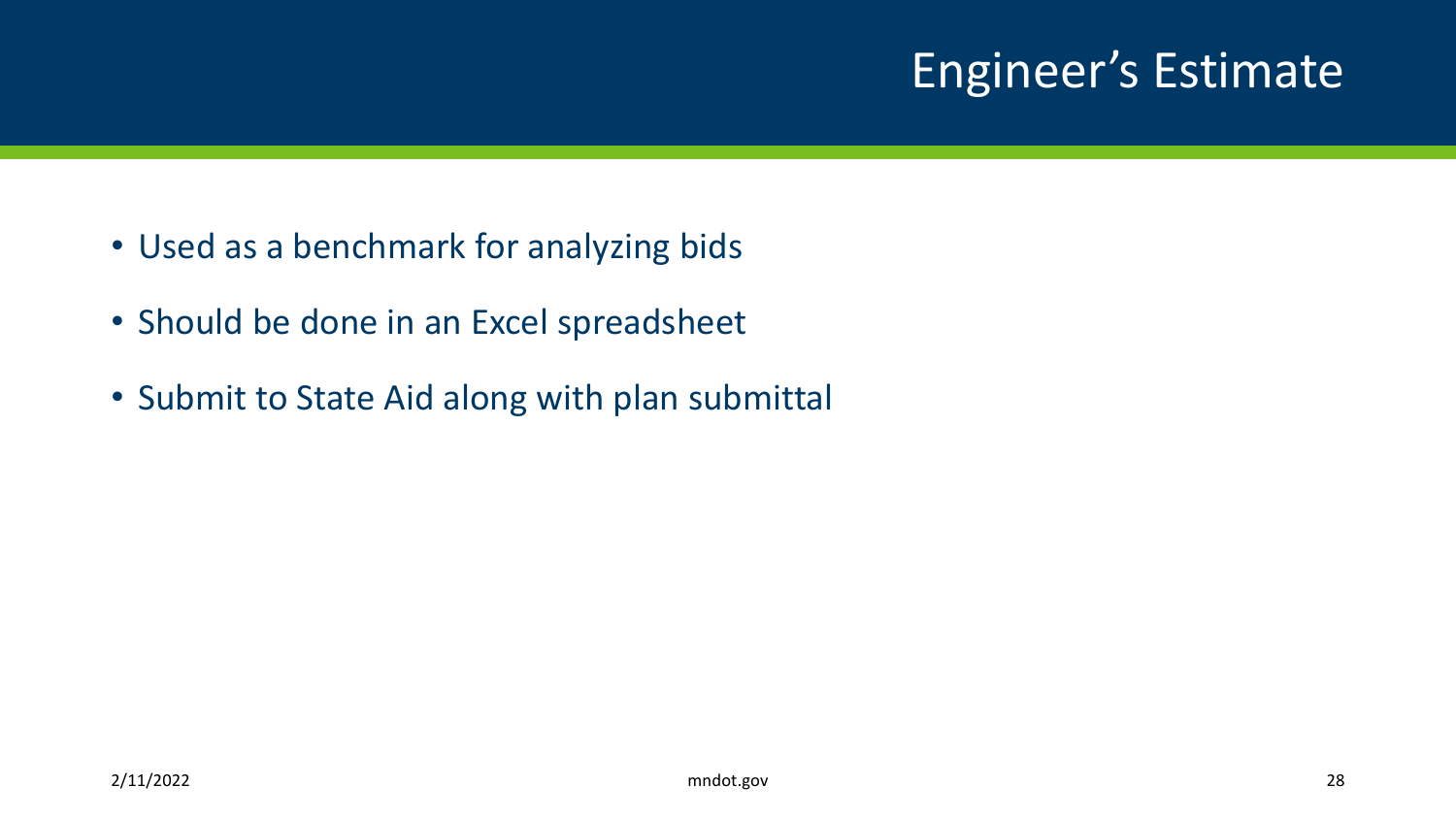## Engineer's Estimate

- Used as a benchmark for analyzing bids
- Should be done in an Excel spreadsheet
- Submit to State Aid along with plan submittal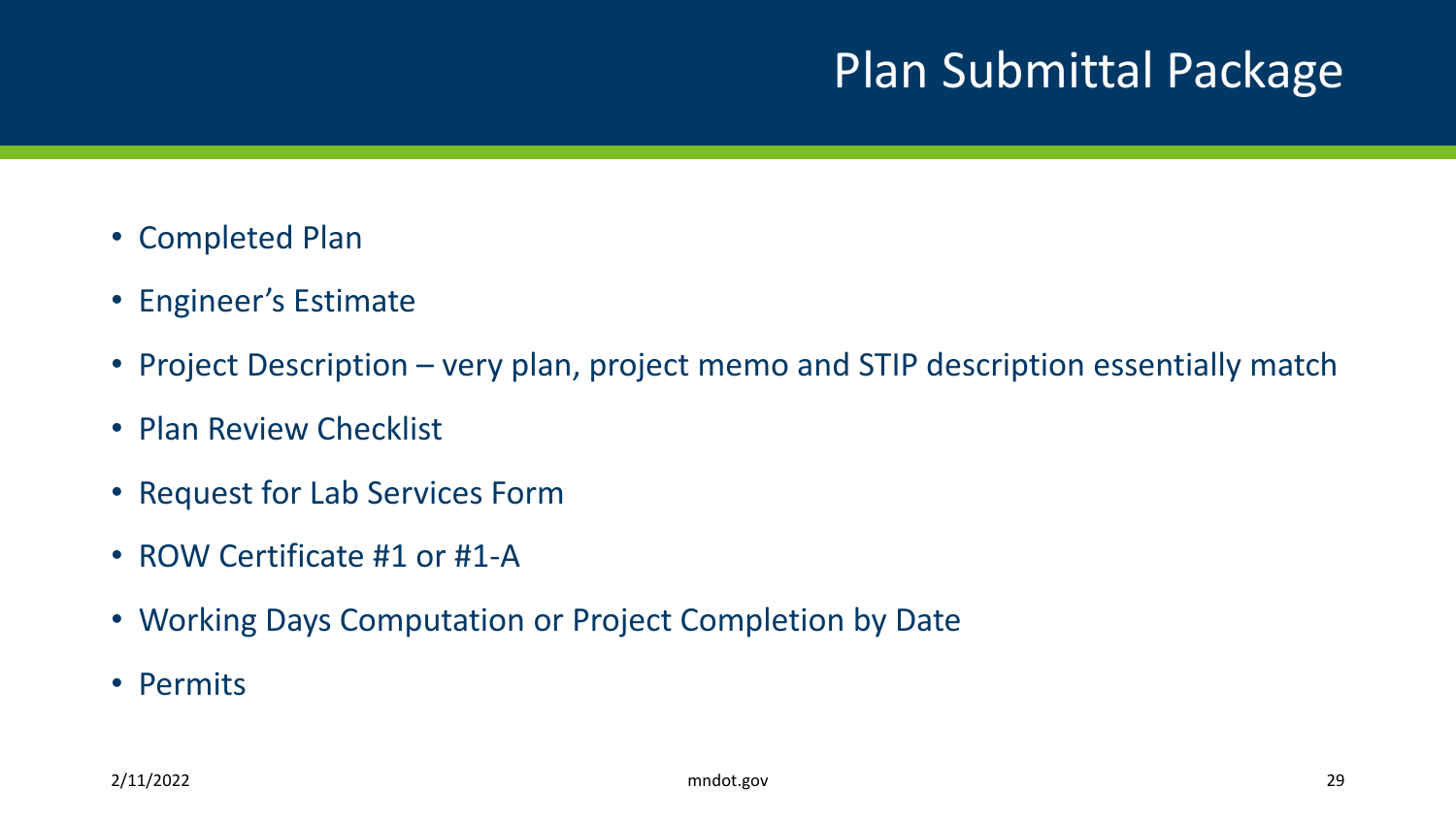### Plan Submittal Package

- Completed Plan
- Engineer's Estimate
- Project Description very plan, project memo and STIP description essentially match
- Plan Review Checklist
- Request for Lab Services Form
- ROW Certificate #1 or #1-A
- Working Days Computation or Project Completion by Date
- Permits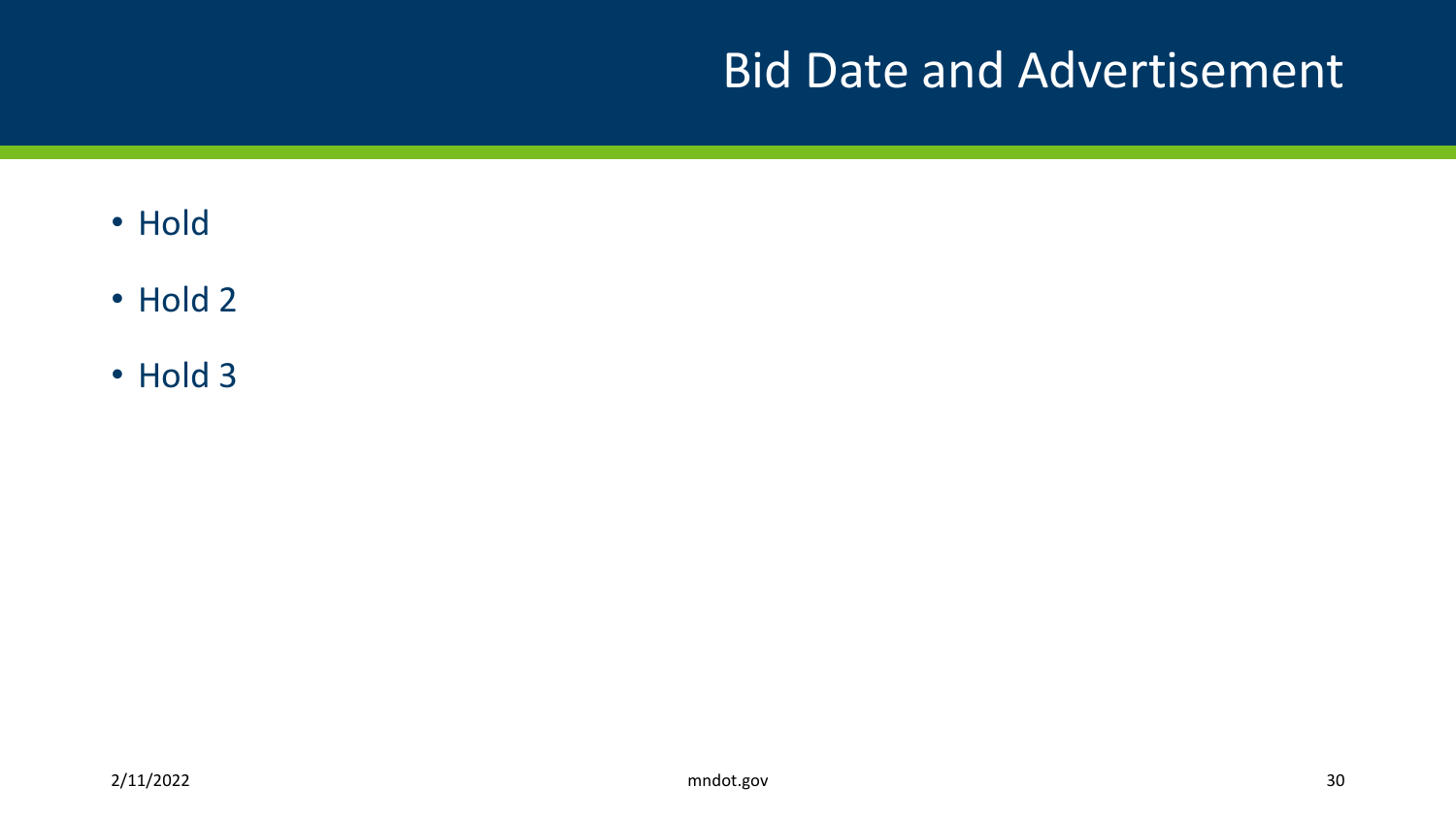#### Bid Date and Advertisement

- Hold
- Hold 2
- Hold 3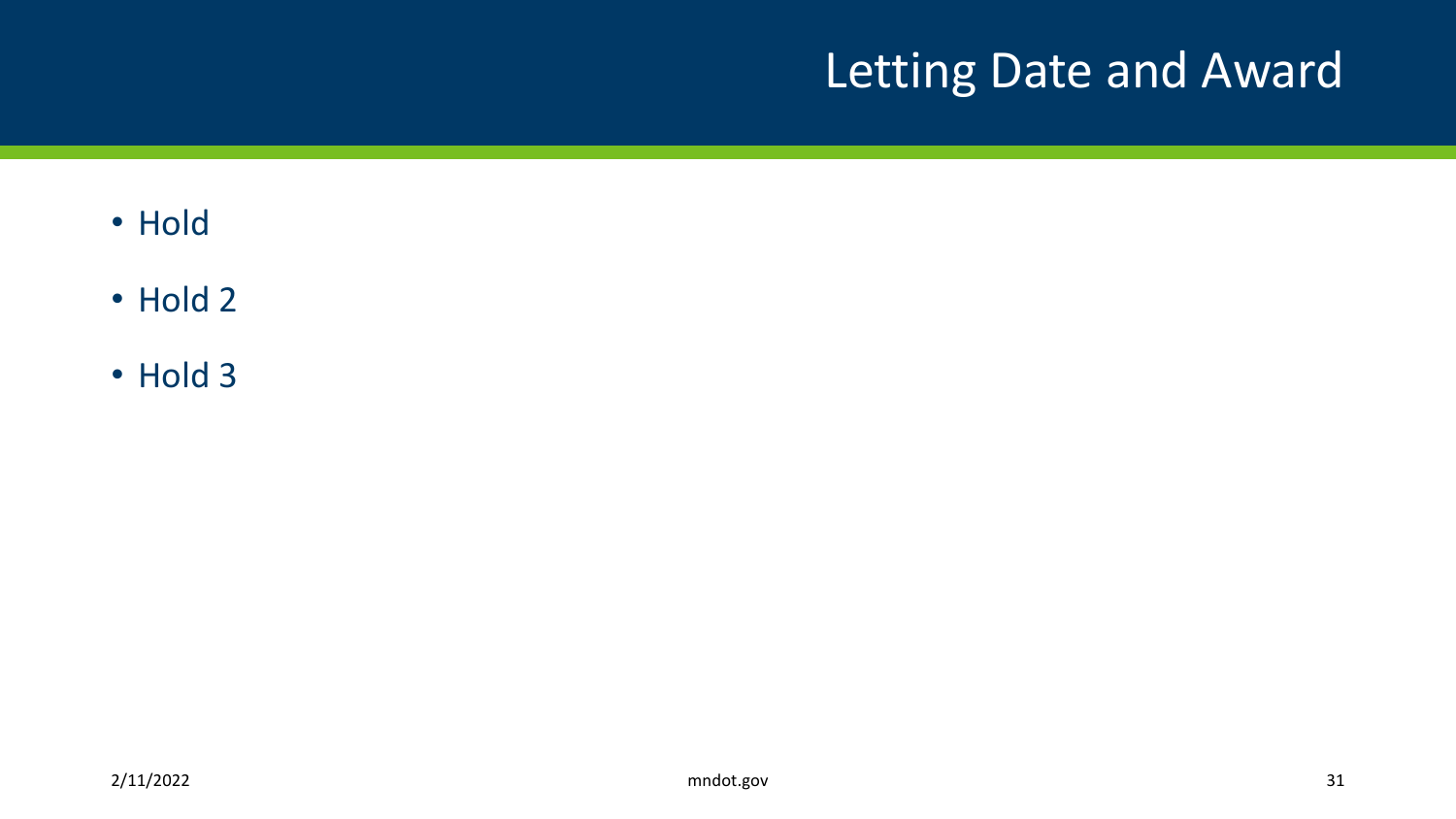## Letting Date and Award

- Hold
- Hold 2
- Hold 3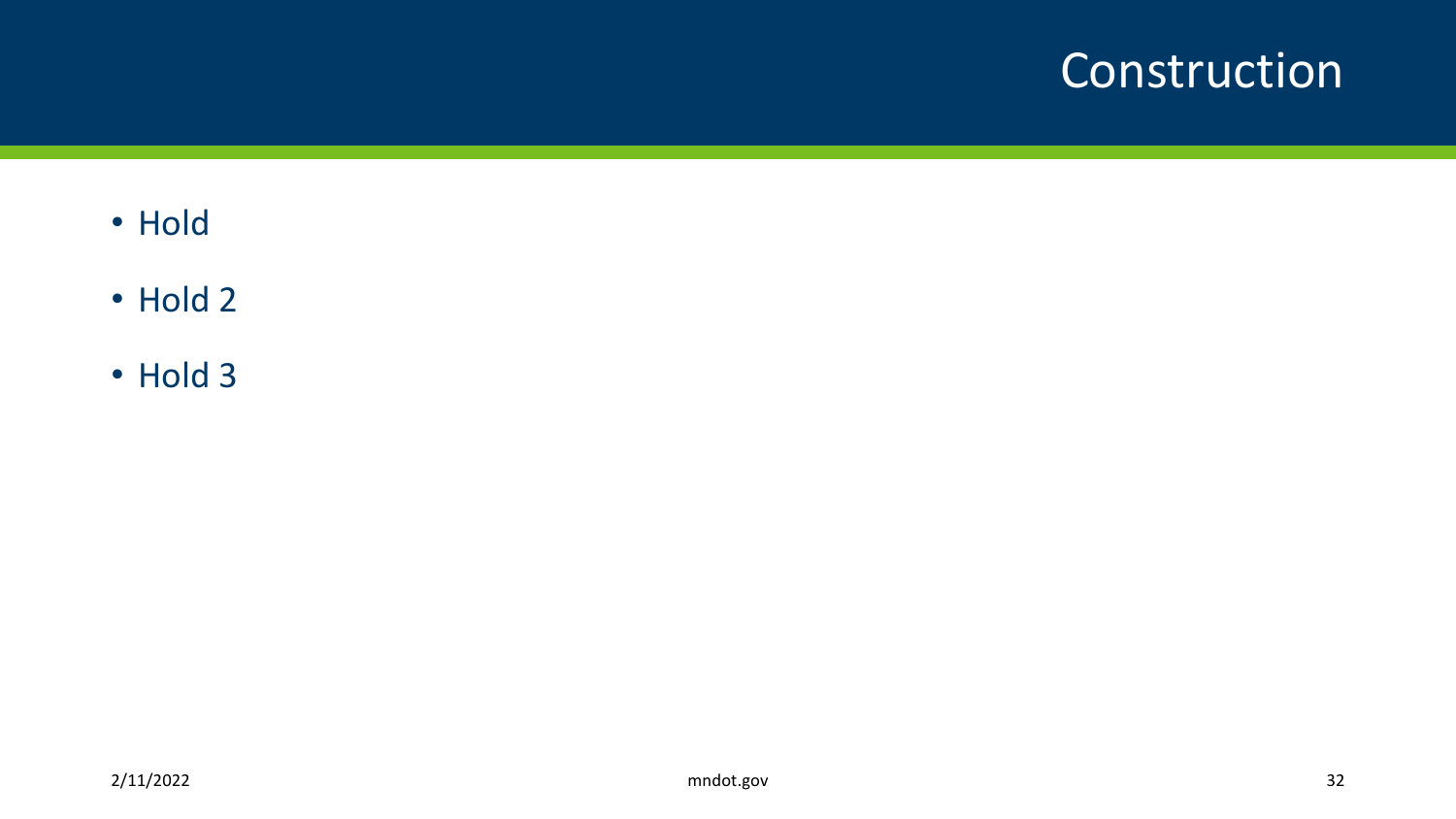#### Construction

- Hold
- Hold 2
- Hold 3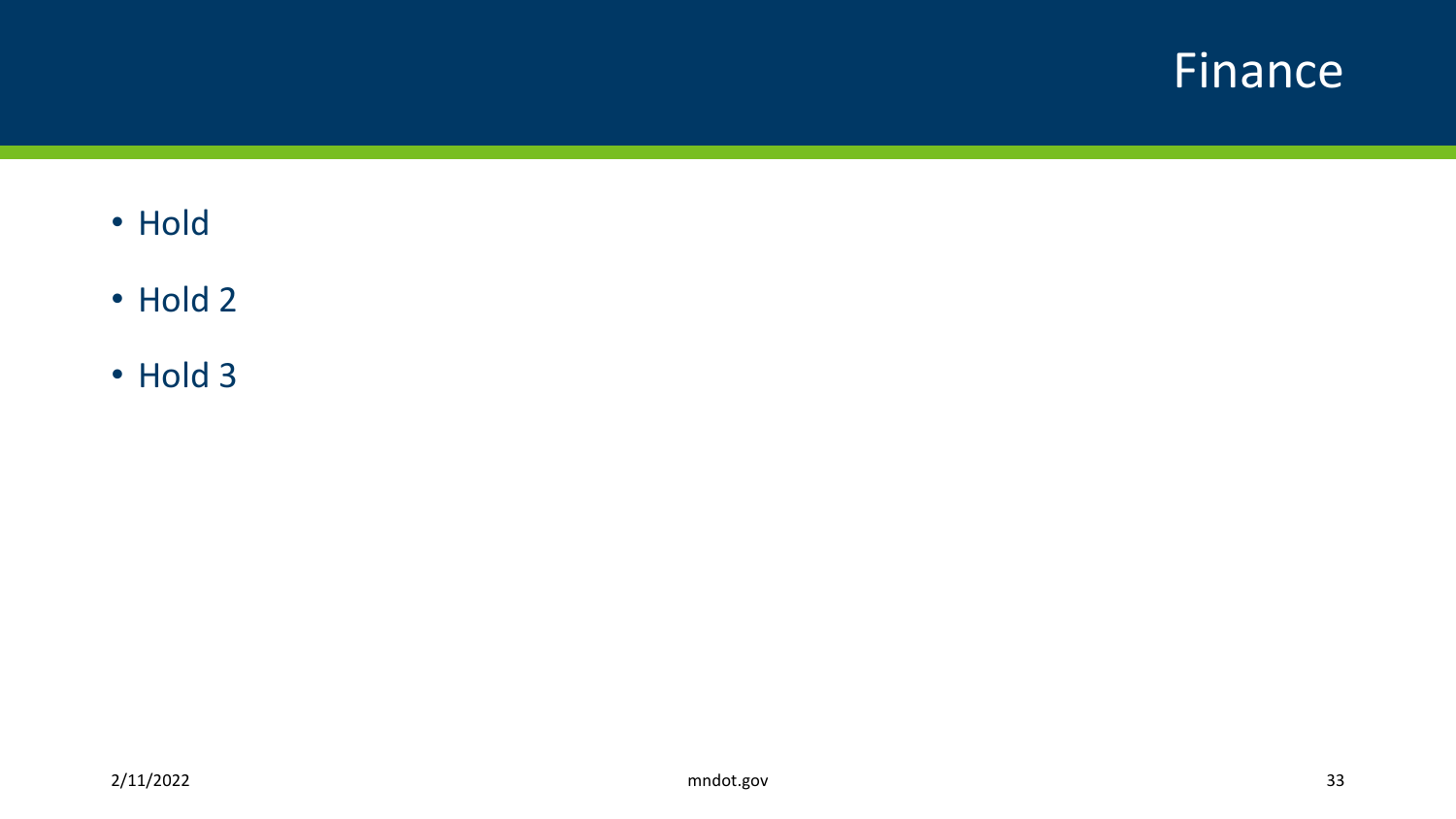#### Finance

- Hold
- Hold 2
- Hold 3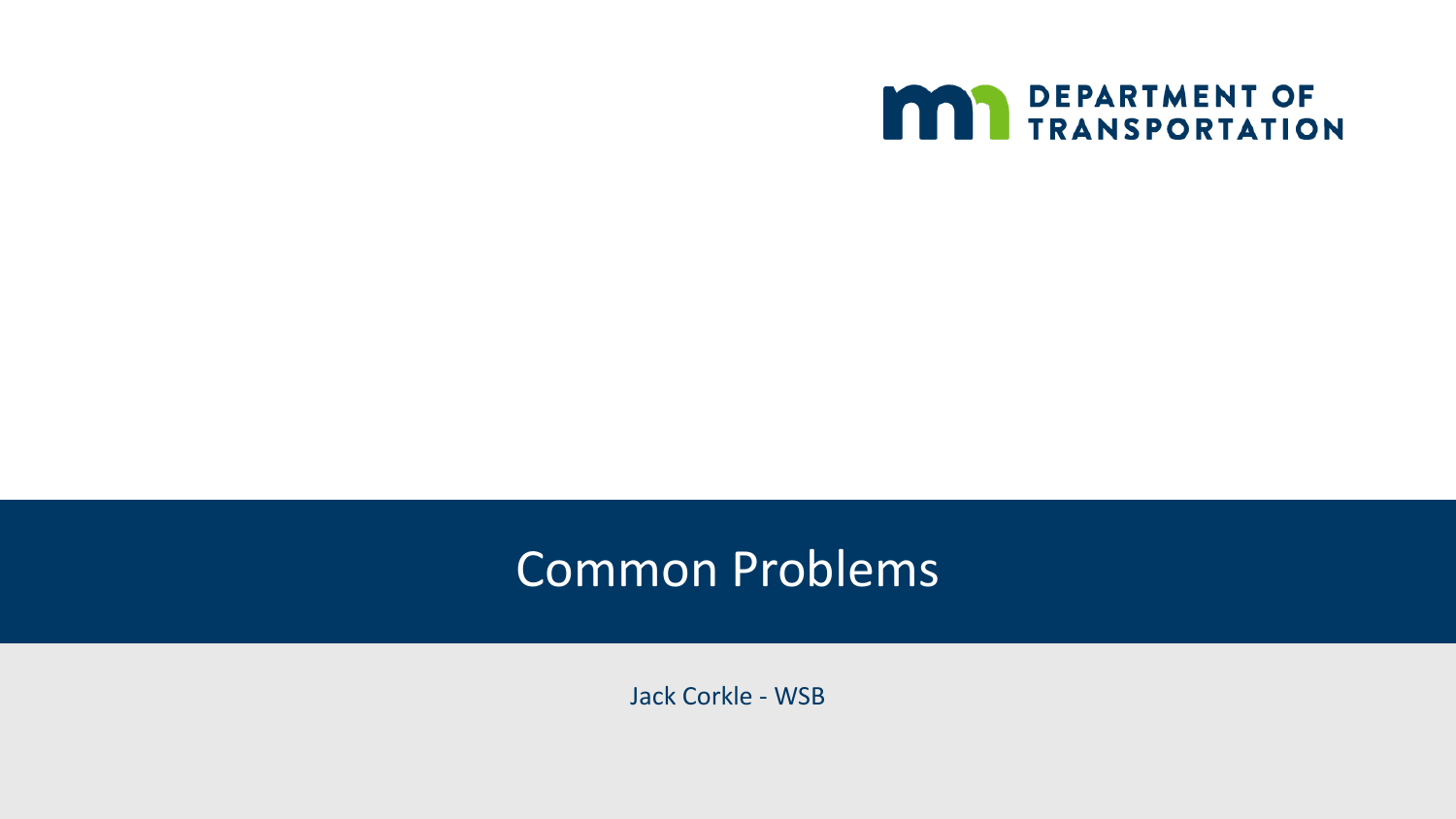

#### Common Problems

Jack Corkle - WSB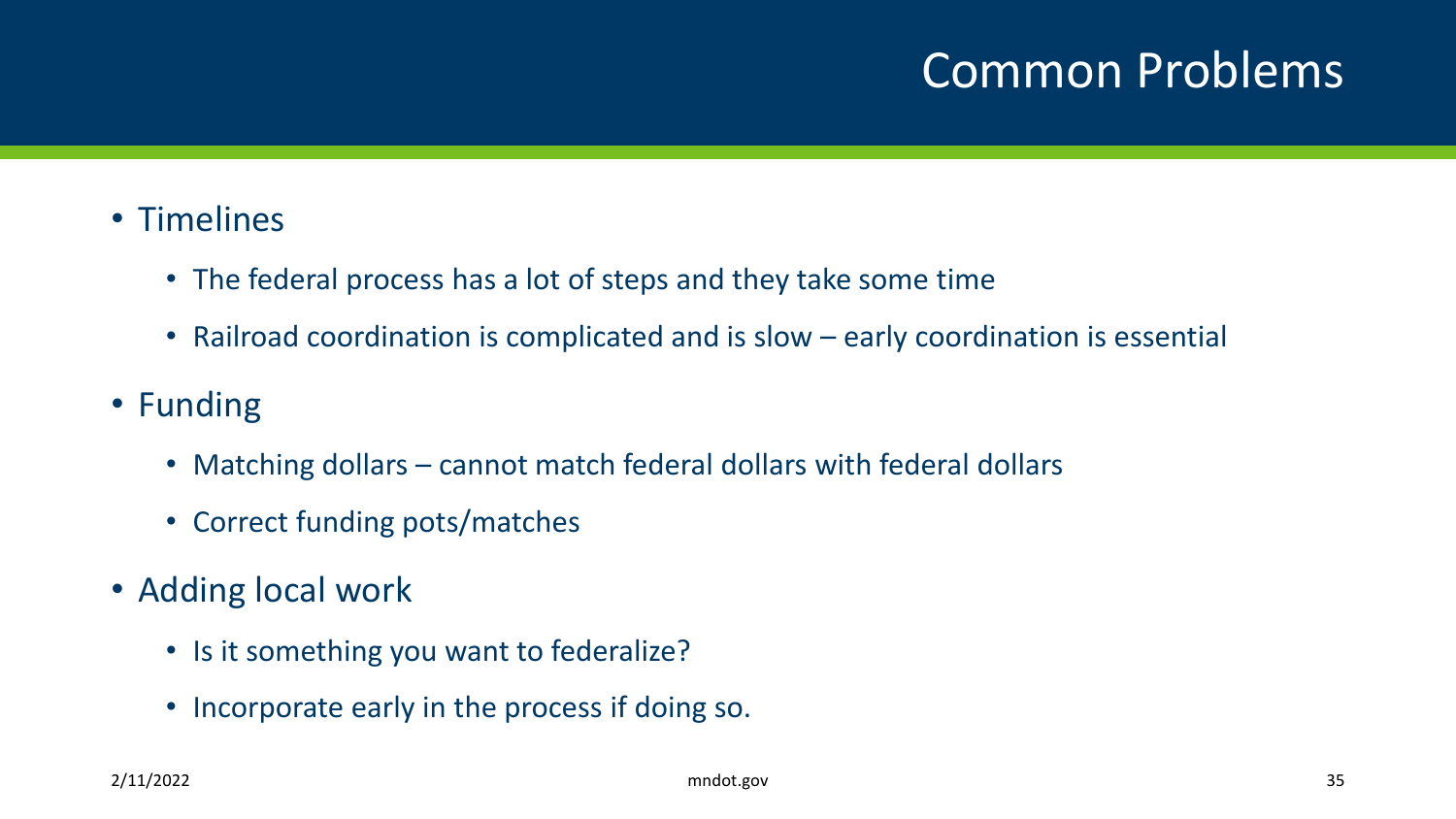#### Common Problems

#### • Timelines

- The federal process has a lot of steps and they take some time
- Railroad coordination is complicated and is slow early coordination is essential
- Funding
	- Matching dollars cannot match federal dollars with federal dollars
	- Correct funding pots/matches
- Adding local work
	- Is it something you want to federalize?
	- Incorporate early in the process if doing so.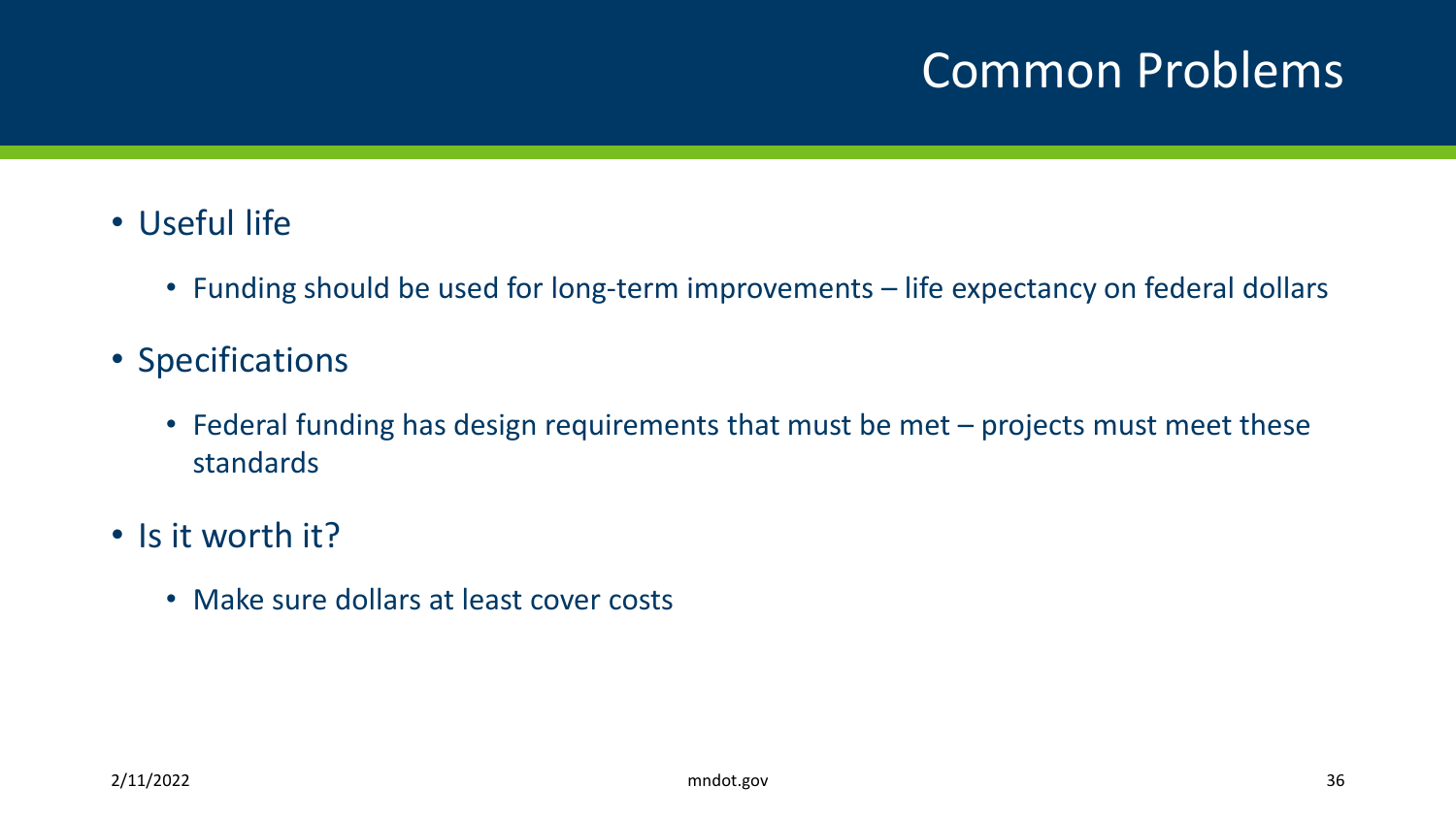#### Common Problems

- Useful life
	- Funding should be used for long-term improvements life expectancy on federal dollars
- Specifications
	- Federal funding has design requirements that must be met projects must meet these standards
- Is it worth it?
	- Make sure dollars at least cover costs